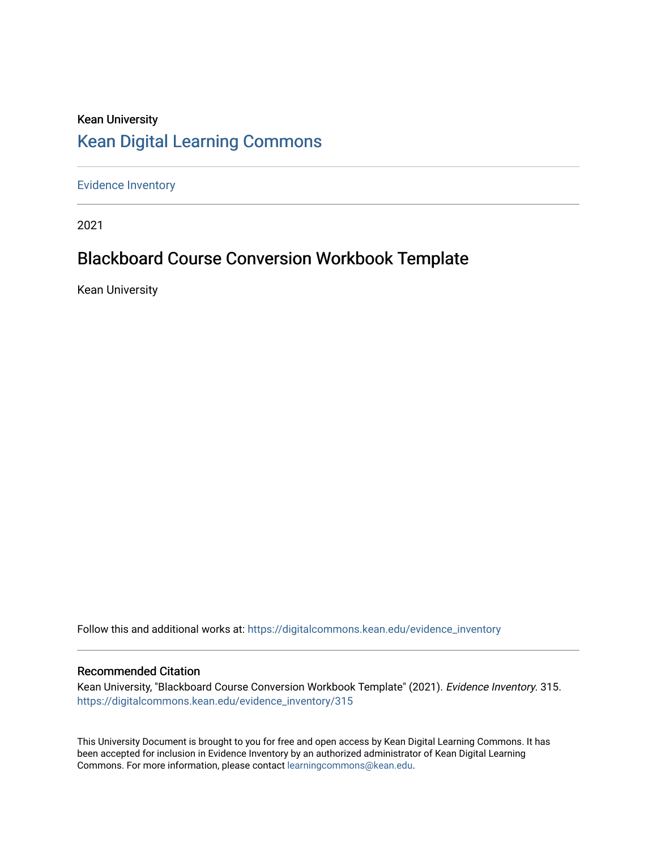# Kean University [Kean Digital Learning Commons](https://digitalcommons.kean.edu/)

[Evidence Inventory](https://digitalcommons.kean.edu/evidence_inventory) 

2021

# Blackboard Course Conversion Workbook Template

Kean University

Follow this and additional works at: [https://digitalcommons.kean.edu/evidence\\_inventory](https://digitalcommons.kean.edu/evidence_inventory?utm_source=digitalcommons.kean.edu%2Fevidence_inventory%2F315&utm_medium=PDF&utm_campaign=PDFCoverPages)

#### Recommended Citation

Kean University, "Blackboard Course Conversion Workbook Template" (2021). Evidence Inventory. 315. [https://digitalcommons.kean.edu/evidence\\_inventory/315](https://digitalcommons.kean.edu/evidence_inventory/315?utm_source=digitalcommons.kean.edu%2Fevidence_inventory%2F315&utm_medium=PDF&utm_campaign=PDFCoverPages)

This University Document is brought to you for free and open access by Kean Digital Learning Commons. It has been accepted for inclusion in Evidence Inventory by an authorized administrator of Kean Digital Learning Commons. For more information, please contact [learningcommons@kean.edu.](mailto:learningcommons@kean.edu)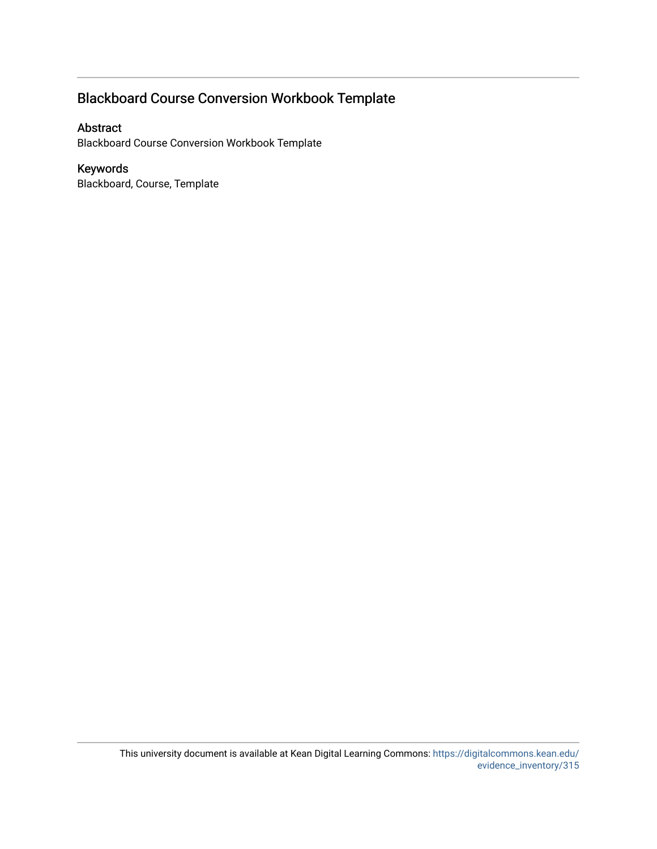## Blackboard Course Conversion Workbook Template

#### Abstract

Blackboard Course Conversion Workbook Template

#### Keywords

Blackboard, Course, Template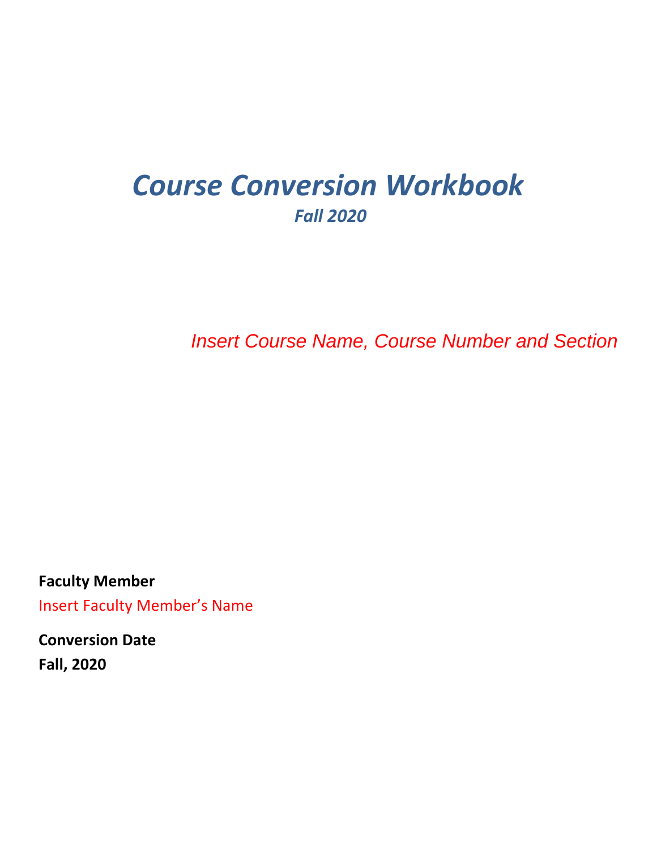# *Course Conversion Workbook Fall 2020*

*Insert Course Name, Course Number and Section*

**Faculty Member** Insert Faculty Member's Name

**Conversion Date Fall, 2020**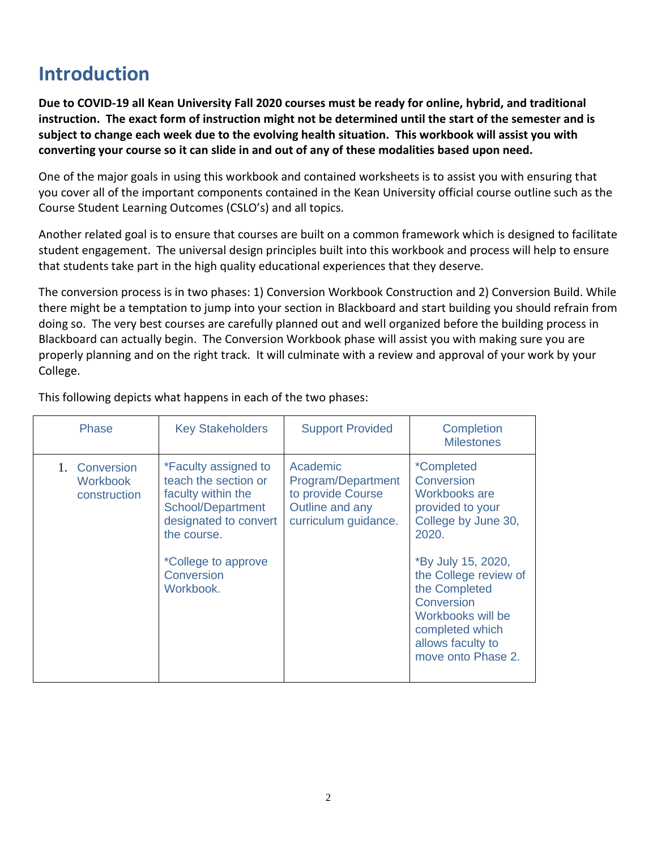# **Introduction**

**Due to COVID-19 all Kean University Fall 2020 courses must be ready for online, hybrid, and traditional instruction. The exact form of instruction might not be determined until the start of the semester and is subject to change each week due to the evolving health situation. This workbook will assist you with converting your course so it can slide in and out of any of these modalities based upon need.** 

One of the major goals in using this workbook and contained worksheets is to assist you with ensuring that you cover all of the important components contained in the Kean University official course outline such as the Course Student Learning Outcomes (CSLO's) and all topics.

Another related goal is to ensure that courses are built on a common framework which is designed to facilitate student engagement. The universal design principles built into this workbook and process will help to ensure that students take part in the high quality educational experiences that they deserve.

The conversion process is in two phases: 1) Conversion Workbook Construction and 2) Conversion Build. While there might be a temptation to jump into your section in Blackboard and start building you should refrain from doing so. The very best courses are carefully planned out and well organized before the building process in Blackboard can actually begin. The Conversion Workbook phase will assist you with making sure you are properly planning and on the right track. It will culminate with a review and approval of your work by your College.

| This following depicts what happens in each of the two phases: |
|----------------------------------------------------------------|
|----------------------------------------------------------------|

| <b>Phase</b>                                     | <b>Key Stakeholders</b>                                                                                                                                                           | <b>Support Provided</b>                                                                        | Completion<br><b>Milestones</b>                                                                                                                                                                                                                                       |
|--------------------------------------------------|-----------------------------------------------------------------------------------------------------------------------------------------------------------------------------------|------------------------------------------------------------------------------------------------|-----------------------------------------------------------------------------------------------------------------------------------------------------------------------------------------------------------------------------------------------------------------------|
| 1. Conversion<br><b>Workbook</b><br>construction | *Faculty assigned to<br>teach the section or<br>faculty within the<br>School/Department<br>designated to convert<br>the course.<br>*College to approve<br>Conversion<br>Workbook. | Academic<br>Program/Department<br>to provide Course<br>Outline and any<br>curriculum guidance. | <i>*Completed</i><br>Conversion<br>Workbooks are<br>provided to your<br>College by June 30,<br>2020.<br>*By July 15, 2020,<br>the College review of<br>the Completed<br>Conversion<br>Workbooks will be<br>completed which<br>allows faculty to<br>move onto Phase 2. |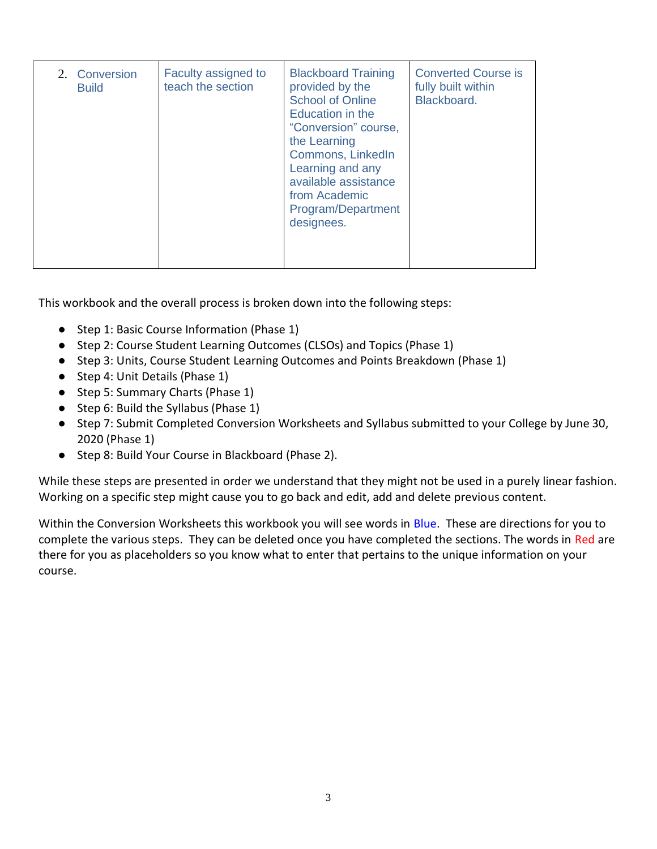| 2. Conversion<br><b>Build</b> | Faculty assigned to<br>teach the section | <b>Blackboard Training</b><br>provided by the<br><b>School of Online</b><br>Education in the<br>"Conversion" course,<br>the Learning<br>Commons, LinkedIn<br>Learning and any<br>available assistance<br>from Academic<br>Program/Department<br>designees. | <b>Converted Course is</b><br>fully built within<br>Blackboard. |
|-------------------------------|------------------------------------------|------------------------------------------------------------------------------------------------------------------------------------------------------------------------------------------------------------------------------------------------------------|-----------------------------------------------------------------|
|                               |                                          |                                                                                                                                                                                                                                                            |                                                                 |

This workbook and the overall process is broken down into the following steps:

- Step 1: Basic Course Information (Phase 1)
- Step 2: Course Student Learning Outcomes (CLSOs) and Topics (Phase 1)
- Step 3: Units, Course Student Learning Outcomes and Points Breakdown (Phase 1)
- Step 4: Unit Details (Phase 1)
- Step 5: Summary Charts (Phase 1)
- Step 6: Build the Syllabus (Phase 1)
- Step 7: Submit Completed Conversion Worksheets and Syllabus submitted to your College by June 30, 2020 (Phase 1)
- Step 8: Build Your Course in Blackboard (Phase 2).

While these steps are presented in order we understand that they might not be used in a purely linear fashion. Working on a specific step might cause you to go back and edit, add and delete previous content.

Within the Conversion Worksheets this workbook you will see words in Blue. These are directions for you to complete the various steps. They can be deleted once you have completed the sections. The words in Red are there for you as placeholders so you know what to enter that pertains to the unique information on your course.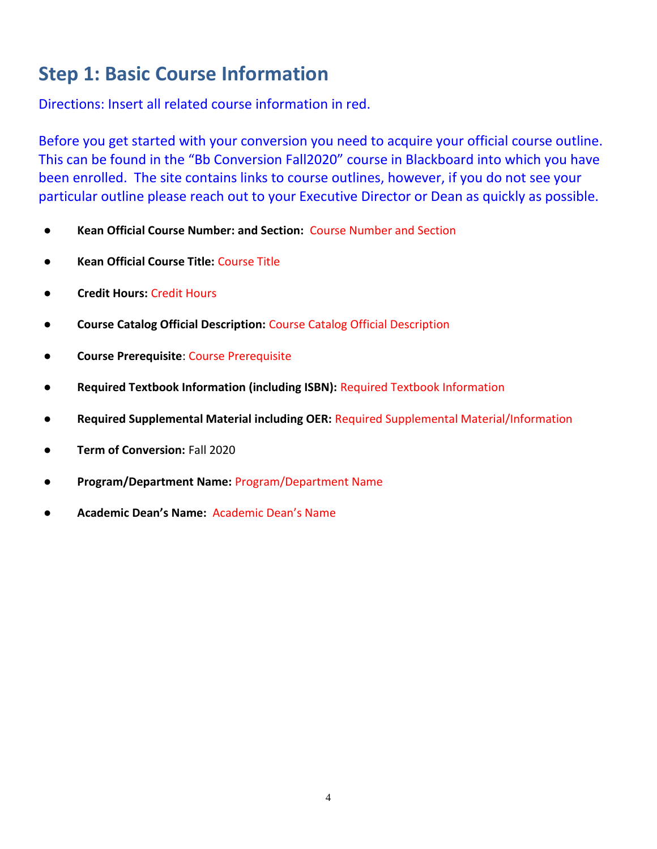# **Step 1: Basic Course Information**

Directions: Insert all related course information in red.

Before you get started with your conversion you need to acquire your official course outline. This can be found in the "Bb Conversion Fall2020" course in Blackboard into which you have been enrolled. The site contains links to course outlines, however, if you do not see your particular outline please reach out to your Executive Director or Dean as quickly as possible.

- **Kean Official Course Number: and Section:** Course Number and Section
- **Kean Official Course Title:** Course Title
- ● **Credit Hours:** Credit Hours
- **Course Catalog Official Description:** Course Catalog Official Description
- **Course Prerequisite**: Course Prerequisite
- **Required Textbook Information (including ISBN):** Required Textbook Information
- **Required Supplemental Material including OER:** Required Supplemental Material/Information
- **Term of Conversion:** Fall 2020
- **Program/Department Name:** Program/Department Name
- **Academic Dean's Name:** Academic Dean's Name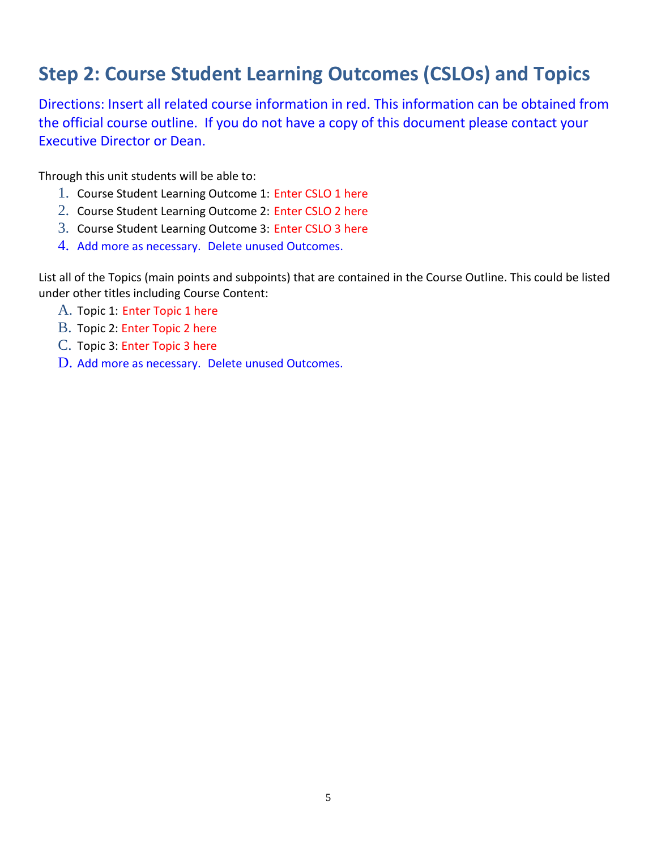# **Step 2: Course Student Learning Outcomes (CSLOs) and Topics**

Directions: Insert all related course information in red. This information can be obtained from the official course outline. If you do not have a copy of this document please contact your Executive Director or Dean.

Through this unit students will be able to:

- 1. Course Student Learning Outcome 1: Enter CSLO 1 here
- 2. Course Student Learning Outcome 2: Enter CSLO 2 here
- 3. Course Student Learning Outcome 3: Enter CSLO 3 here
- 4. Add more as necessary. Delete unused Outcomes.

List all of the Topics (main points and subpoints) that are contained in the Course Outline. This could be listed under other titles including Course Content:

- A. Topic 1: Enter Topic 1 here
- B. Topic 2: Enter Topic 2 here
- C. Topic 3: Enter Topic 3 here
- D. Add more as necessary. Delete unused Outcomes.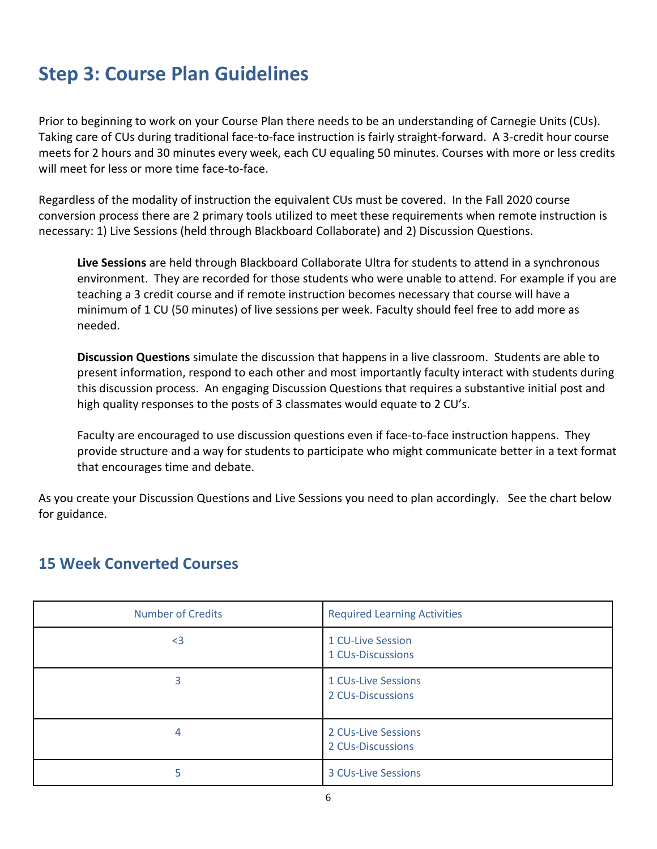# **Step 3: Course Plan Guidelines**

Prior to beginning to work on your Course Plan there needs to be an understanding of Carnegie Units (CUs). Taking care of CUs during traditional face-to-face instruction is fairly straight-forward. A 3-credit hour course meets for 2 hours and 30 minutes every week, each CU equaling 50 minutes. Courses with more or less credits will meet for less or more time face-to-face.

Regardless of the modality of instruction the equivalent CUs must be covered. In the Fall 2020 course conversion process there are 2 primary tools utilized to meet these requirements when remote instruction is necessary: 1) Live Sessions (held through Blackboard Collaborate) and 2) Discussion Questions.

**Live Sessions** are held through Blackboard Collaborate Ultra for students to attend in a synchronous environment. They are recorded for those students who were unable to attend. For example if you are teaching a 3 credit course and if remote instruction becomes necessary that course will have a minimum of 1 CU (50 minutes) of live sessions per week. Faculty should feel free to add more as needed.

**Discussion Questions** simulate the discussion that happens in a live classroom. Students are able to present information, respond to each other and most importantly faculty interact with students during this discussion process. An engaging Discussion Questions that requires a substantive initial post and high quality responses to the posts of 3 classmates would equate to 2 CU's.

Faculty are encouraged to use discussion questions even if face-to-face instruction happens. They provide structure and a way for students to participate who might communicate better in a text format that encourages time and debate.

As you create your Discussion Questions and Live Sessions you need to plan accordingly. See the chart below for guidance.

# **15 Week Converted Courses**

| <b>Number of Credits</b> | <b>Required Learning Activities</b>      |
|--------------------------|------------------------------------------|
| $3$                      | 1 CU-Live Session<br>1 CUs-Discussions   |
| 3                        | 1 CUs-Live Sessions<br>2 CUs-Discussions |
| 4                        | 2 CUs-Live Sessions<br>2 CUs-Discussions |
|                          | <b>3 CUs-Live Sessions</b>               |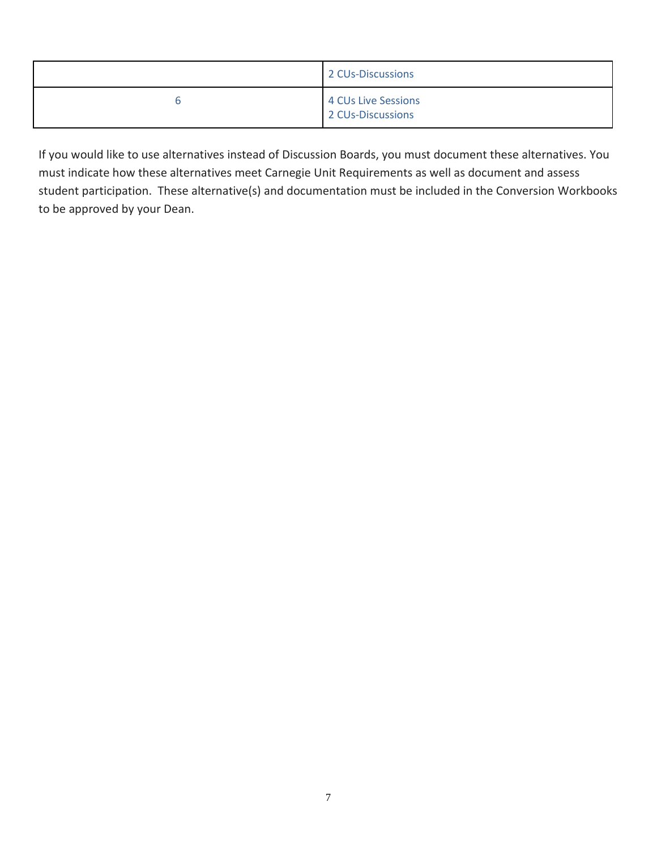| 2 CUs-Discussions                        |
|------------------------------------------|
| 4 CUs Live Sessions<br>2 CUs-Discussions |

If you would like to use alternatives instead of Discussion Boards, you must document these alternatives. You must indicate how these alternatives meet Carnegie Unit Requirements as well as document and assess student participation. These alternative(s) and documentation must be included in the Conversion Workbooks to be approved by your Dean.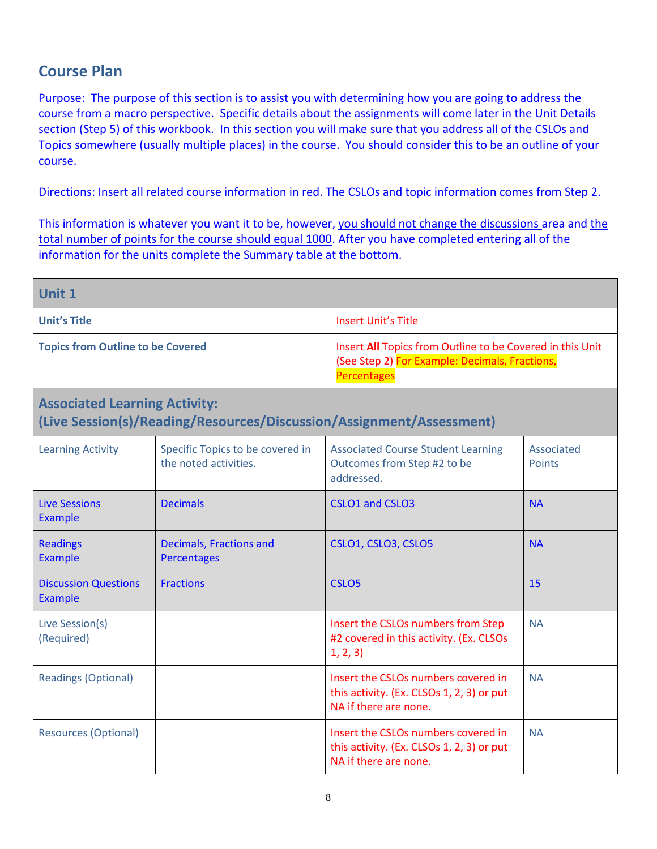# **Course Plan**

Purpose: The purpose of this section is to assist you with determining how you are going to address the course from a macro perspective. Specific details about the assignments will come later in the Unit Details section (Step 5) of this workbook. In this section you will make sure that you address all of the CSLOs and Topics somewhere (usually multiple places) in the course. You should consider this to be an outline of your course.

Directions: Insert all related course information in red. The CSLOs and topic information comes from Step 2.

This information is whatever you want it to be, however, you should not change the discussions area and the total number of points for the course should equal 1000. After you have completed entering all of the information for the units complete the Summary table at the bottom.

| Unit 1                                                                                                       |                                                           |                                                                                                                                   |                             |  |
|--------------------------------------------------------------------------------------------------------------|-----------------------------------------------------------|-----------------------------------------------------------------------------------------------------------------------------------|-----------------------------|--|
| <b>Unit's Title</b>                                                                                          |                                                           | <b>Insert Unit's Title</b>                                                                                                        |                             |  |
| <b>Topics from Outline to be Covered</b>                                                                     |                                                           | Insert All Topics from Outline to be Covered in this Unit<br>(See Step 2) For Example: Decimals, Fractions,<br><b>Percentages</b> |                             |  |
| <b>Associated Learning Activity:</b><br>(Live Session(s)/Reading/Resources/Discussion/Assignment/Assessment) |                                                           |                                                                                                                                   |                             |  |
| <b>Learning Activity</b>                                                                                     | Specific Topics to be covered in<br>the noted activities. | <b>Associated Course Student Learning</b><br>Outcomes from Step #2 to be<br>addressed.                                            | Associated<br><b>Points</b> |  |
| <b>Live Sessions</b><br><b>Example</b>                                                                       | <b>Decimals</b>                                           | CSLO1 and CSLO3                                                                                                                   | <b>NA</b>                   |  |
| <b>Readings</b><br><b>Example</b>                                                                            | Decimals, Fractions and<br>Percentages                    | CSLO1, CSLO3, CSLO5                                                                                                               | <b>NA</b>                   |  |
| <b>Discussion Questions</b><br>Example                                                                       | <b>Fractions</b>                                          | CSLO <sub>5</sub>                                                                                                                 | 15                          |  |
| Live Session(s)<br>(Required)                                                                                |                                                           | Insert the CSLOs numbers from Step<br>#2 covered in this activity. (Ex. CLSOs<br>1, 2, 3)                                         | <b>NA</b>                   |  |
| <b>Readings (Optional)</b>                                                                                   |                                                           | Insert the CSLOs numbers covered in<br>this activity. (Ex. CLSOs 1, 2, 3) or put<br>NA if there are none.                         | <b>NA</b>                   |  |
| <b>Resources (Optional)</b>                                                                                  |                                                           | Insert the CSLOs numbers covered in<br>this activity. (Ex. CLSOs 1, 2, 3) or put<br>NA if there are none.                         | <b>NA</b>                   |  |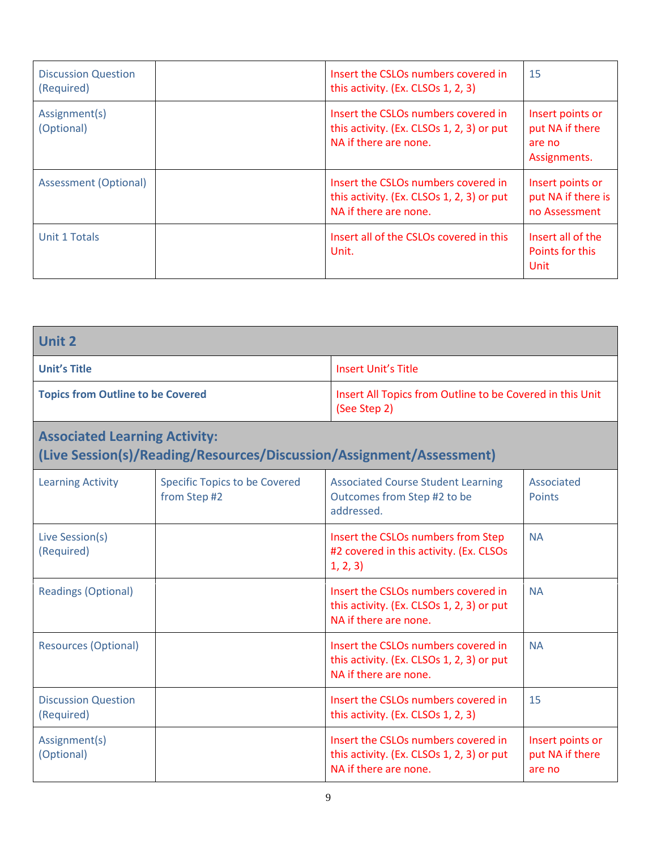| <b>Discussion Question</b><br>(Required) | Insert the CSLOs numbers covered in<br>this activity. (Ex. CLSOs 1, 2, 3)                                 | 15                                                            |
|------------------------------------------|-----------------------------------------------------------------------------------------------------------|---------------------------------------------------------------|
| Assignment(s)<br>(Optional)              | Insert the CSLOs numbers covered in<br>this activity. (Ex. CLSOs 1, 2, 3) or put<br>NA if there are none. | Insert points or<br>put NA if there<br>are no<br>Assignments. |
| <b>Assessment (Optional)</b>             | Insert the CSLOs numbers covered in<br>this activity. (Ex. CLSOs 1, 2, 3) or put<br>NA if there are none. | Insert points or<br>put NA if there is<br>no Assessment       |
| Unit 1 Totals                            | Insert all of the CSLOs covered in this<br>Unit.                                                          | Insert all of the<br>Points for this<br>Unit                  |

| <b>Unit 2</b>                                                                                                |                                                      |                                                                                                           |                                                           |  |
|--------------------------------------------------------------------------------------------------------------|------------------------------------------------------|-----------------------------------------------------------------------------------------------------------|-----------------------------------------------------------|--|
| <b>Unit's Title</b>                                                                                          |                                                      | <b>Insert Unit's Title</b>                                                                                |                                                           |  |
| <b>Topics from Outline to be Covered</b>                                                                     |                                                      | (See Step 2)                                                                                              | Insert All Topics from Outline to be Covered in this Unit |  |
| <b>Associated Learning Activity:</b><br>(Live Session(s)/Reading/Resources/Discussion/Assignment/Assessment) |                                                      |                                                                                                           |                                                           |  |
| <b>Learning Activity</b>                                                                                     | <b>Specific Topics to be Covered</b><br>from Step #2 | <b>Associated Course Student Learning</b><br>Outcomes from Step #2 to be<br>addressed.                    | Associated<br><b>Points</b>                               |  |
| Live Session(s)<br>(Required)                                                                                |                                                      | Insert the CSLOs numbers from Step<br>#2 covered in this activity. (Ex. CLSOs<br>1, 2, 3)                 | <b>NA</b>                                                 |  |
| <b>Readings (Optional)</b>                                                                                   |                                                      | Insert the CSLOs numbers covered in<br>this activity. (Ex. CLSOs 1, 2, 3) or put<br>NA if there are none. | <b>NA</b>                                                 |  |
| <b>Resources (Optional)</b>                                                                                  |                                                      | Insert the CSLOs numbers covered in<br>this activity. (Ex. CLSOs 1, 2, 3) or put<br>NA if there are none. | <b>NA</b>                                                 |  |
| <b>Discussion Question</b><br>(Required)                                                                     |                                                      | Insert the CSLOs numbers covered in<br>this activity. (Ex. CLSOs 1, 2, 3)                                 | 15                                                        |  |
| Assignment(s)<br>(Optional)                                                                                  |                                                      | Insert the CSLOs numbers covered in<br>this activity. (Ex. CLSOs 1, 2, 3) or put<br>NA if there are none. | Insert points or<br>put NA if there<br>are no             |  |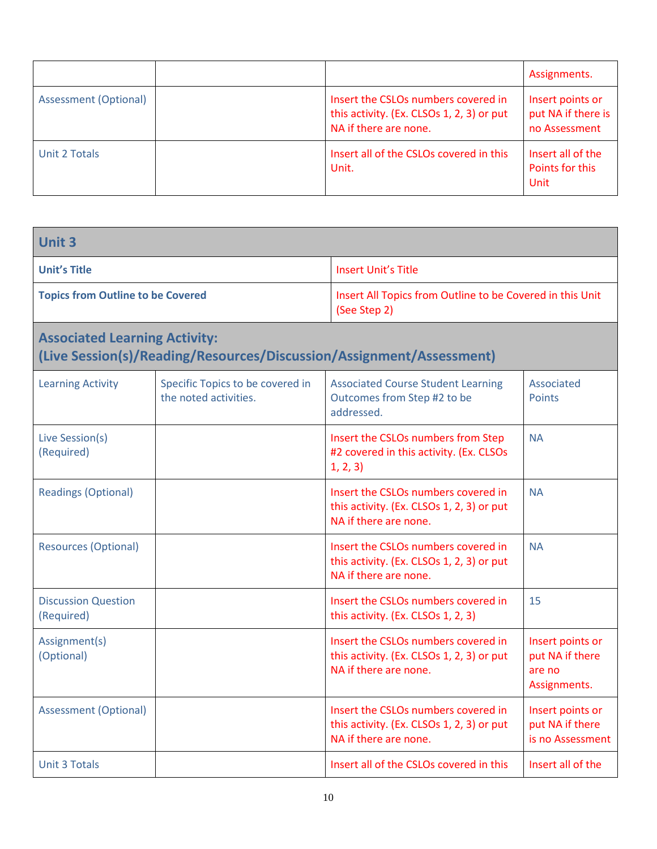|                       |                                                                                                           | Assignments.                                            |
|-----------------------|-----------------------------------------------------------------------------------------------------------|---------------------------------------------------------|
| Assessment (Optional) | Insert the CSLOs numbers covered in<br>this activity. (Ex. CLSOs 1, 2, 3) or put<br>NA if there are none. | Insert points or<br>put NA if there is<br>no Assessment |
| Unit 2 Totals         | Insert all of the CSLOs covered in this<br>Unit.                                                          | Insert all of the<br>Points for this<br>Unit            |

| <b>Unit 3</b>                            |                                                           |                                                                                                           |                                                               |  |
|------------------------------------------|-----------------------------------------------------------|-----------------------------------------------------------------------------------------------------------|---------------------------------------------------------------|--|
| <b>Unit's Title</b>                      |                                                           | <b>Insert Unit's Title</b>                                                                                |                                                               |  |
| <b>Topics from Outline to be Covered</b> |                                                           | (See Step 2)                                                                                              | Insert All Topics from Outline to be Covered in this Unit     |  |
| <b>Associated Learning Activity:</b>     |                                                           | (Live Session(s)/Reading/Resources/Discussion/Assignment/Assessment)                                      |                                                               |  |
| <b>Learning Activity</b>                 | Specific Topics to be covered in<br>the noted activities. | <b>Associated Course Student Learning</b><br>Outcomes from Step #2 to be<br>addressed.                    | Associated<br><b>Points</b>                                   |  |
| Live Session(s)<br>(Required)            |                                                           | Insert the CSLOs numbers from Step<br>#2 covered in this activity. (Ex. CLSOs<br>1, 2, 3)                 | <b>NA</b>                                                     |  |
| <b>Readings (Optional)</b>               |                                                           | Insert the CSLOs numbers covered in<br>this activity. (Ex. CLSOs 1, 2, 3) or put<br>NA if there are none. | <b>NA</b>                                                     |  |
| <b>Resources (Optional)</b>              |                                                           | Insert the CSLOs numbers covered in<br>this activity. (Ex. CLSOs 1, 2, 3) or put<br>NA if there are none. | <b>NA</b>                                                     |  |
| <b>Discussion Question</b><br>(Required) |                                                           | Insert the CSLOs numbers covered in<br>this activity. (Ex. CLSOs 1, 2, 3)                                 | 15                                                            |  |
| Assignment(s)<br>(Optional)              |                                                           | Insert the CSLOs numbers covered in<br>this activity. (Ex. CLSOs 1, 2, 3) or put<br>NA if there are none. | Insert points or<br>put NA if there<br>are no<br>Assignments. |  |
| <b>Assessment (Optional)</b>             |                                                           | Insert the CSLOs numbers covered in<br>this activity. (Ex. CLSOs 1, 2, 3) or put<br>NA if there are none. | Insert points or<br>put NA if there<br>is no Assessment       |  |
| <b>Unit 3 Totals</b>                     |                                                           | Insert all of the CSLOs covered in this                                                                   | Insert all of the                                             |  |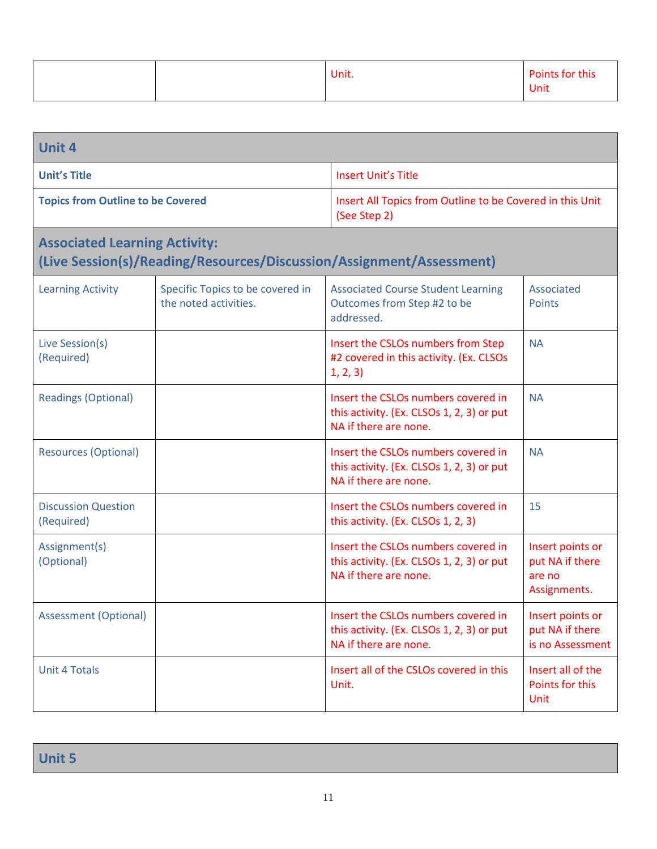|  | Unit. | Points for this |
|--|-------|-----------------|
|  |       | <b>Unit</b>     |

| <b>Unit 4</b>                            |                                                           |                                                                                                           |                                                               |  |
|------------------------------------------|-----------------------------------------------------------|-----------------------------------------------------------------------------------------------------------|---------------------------------------------------------------|--|
| <b>Unit's Title</b>                      |                                                           | <b>Insert Unit's Title</b>                                                                                |                                                               |  |
| <b>Topics from Outline to be Covered</b> |                                                           | (See Step 2)                                                                                              | Insert All Topics from Outline to be Covered in this Unit     |  |
| <b>Associated Learning Activity:</b>     |                                                           | (Live Session(s)/Reading/Resources/Discussion/Assignment/Assessment)                                      |                                                               |  |
| <b>Learning Activity</b>                 | Specific Topics to be covered in<br>the noted activities. | <b>Associated Course Student Learning</b><br>Outcomes from Step #2 to be<br>addressed.                    | Associated<br><b>Points</b>                                   |  |
| Live Session(s)<br>(Required)            |                                                           | Insert the CSLOs numbers from Step<br>#2 covered in this activity. (Ex. CLSOs<br>1, 2, 3)                 | <b>NA</b>                                                     |  |
| <b>Readings (Optional)</b>               |                                                           | Insert the CSLOs numbers covered in<br>this activity. (Ex. CLSOs 1, 2, 3) or put<br>NA if there are none. | <b>NA</b>                                                     |  |
| <b>Resources (Optional)</b>              |                                                           | Insert the CSLOs numbers covered in<br>this activity. (Ex. CLSOs 1, 2, 3) or put<br>NA if there are none. | <b>NA</b>                                                     |  |
| <b>Discussion Question</b><br>(Required) |                                                           | Insert the CSLOs numbers covered in<br>this activity. (Ex. CLSOs 1, 2, 3)                                 | 15                                                            |  |
| Assignment(s)<br>(Optional)              |                                                           | Insert the CSLOs numbers covered in<br>this activity. (Ex. CLSOs 1, 2, 3) or put<br>NA if there are none. | Insert points or<br>put NA if there<br>are no<br>Assignments. |  |
| <b>Assessment (Optional)</b>             |                                                           | Insert the CSLOs numbers covered in<br>this activity. (Ex. CLSOs 1, 2, 3) or put<br>NA if there are none. | Insert points or<br>put NA if there<br>is no Assessment       |  |
| <b>Unit 4 Totals</b>                     |                                                           | Insert all of the CSLOs covered in this<br>Unit.                                                          | Insert all of the<br>Points for this<br><b>Unit</b>           |  |

**Unit 5**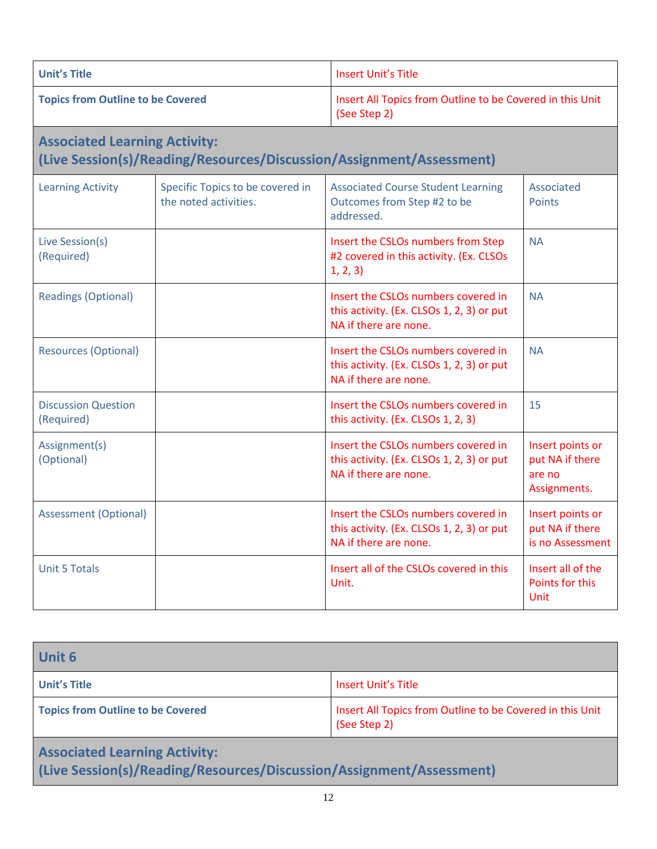| <b>Unit's Title</b>                                                                                          |                                                           | Insert Unit's Title                                                                       |                             |
|--------------------------------------------------------------------------------------------------------------|-----------------------------------------------------------|-------------------------------------------------------------------------------------------|-----------------------------|
| <b>Topics from Outline to be Covered</b>                                                                     |                                                           | Insert All Topics from Outline to be Covered in this Unit<br>(See Step 2)                 |                             |
| <b>Associated Learning Activity:</b><br>(Live Session(s)/Reading/Resources/Discussion/Assignment/Assessment) |                                                           |                                                                                           |                             |
| <b>Learning Activity</b>                                                                                     | Specific Topics to be covered in<br>the noted activities. | <b>Associated Course Student Learning</b><br>Outcomes from Step #2 to be<br>addressed.    | Associated<br><b>Points</b> |
| Live Session(s)<br>(Required)                                                                                |                                                           | Insert the CSLOs numbers from Step<br>#2 covered in this activity. (Ex. CLSOs<br>1, 2, 3) | <b>NA</b>                   |
| <b>Readings (Optional)</b>                                                                                   |                                                           | Insert the CSLOs numbers covered in<br>this activity. (Ex. CLSOs 1, 2, 3) or put          | <b>NA</b>                   |

| <b>Readings (Optional)</b>               | Insert the CSLOs numbers covered in<br>this activity. (Ex. CLSOs 1, 2, 3) or put<br>NA if there are none. | <b>NA</b>                                                     |
|------------------------------------------|-----------------------------------------------------------------------------------------------------------|---------------------------------------------------------------|
| <b>Resources (Optional)</b>              | Insert the CSLOs numbers covered in<br>this activity. (Ex. CLSOs 1, 2, 3) or put<br>NA if there are none. | <b>NA</b>                                                     |
| <b>Discussion Question</b><br>(Required) | Insert the CSLOs numbers covered in<br>this activity. (Ex. CLSOs 1, 2, 3)                                 | 15                                                            |
| Assignment(s)<br>(Optional)              | Insert the CSLOs numbers covered in<br>this activity. (Ex. CLSOs 1, 2, 3) or put<br>NA if there are none. | Insert points or<br>put NA if there<br>are no<br>Assignments. |
| <b>Assessment (Optional)</b>             | Insert the CSLOs numbers covered in<br>this activity. (Ex. CLSOs 1, 2, 3) or put<br>NA if there are none. | Insert points or<br>put NA if there<br>is no Assessment       |
| <b>Unit 5 Totals</b>                     | Insert all of the CSLOs covered in this<br>Unit.                                                          | Insert all of the<br><b>Points for this</b><br>Unit           |

**Unit 6 Unit's Title Insert Unit's Title Topics from Outline to be Covered Insert All Topics from Outline to be Covered in this Unit** (See Step 2) **Associated Learning Activity: (Live Session(s)/Reading/Resources/Discussion/Assignment/Assessment)**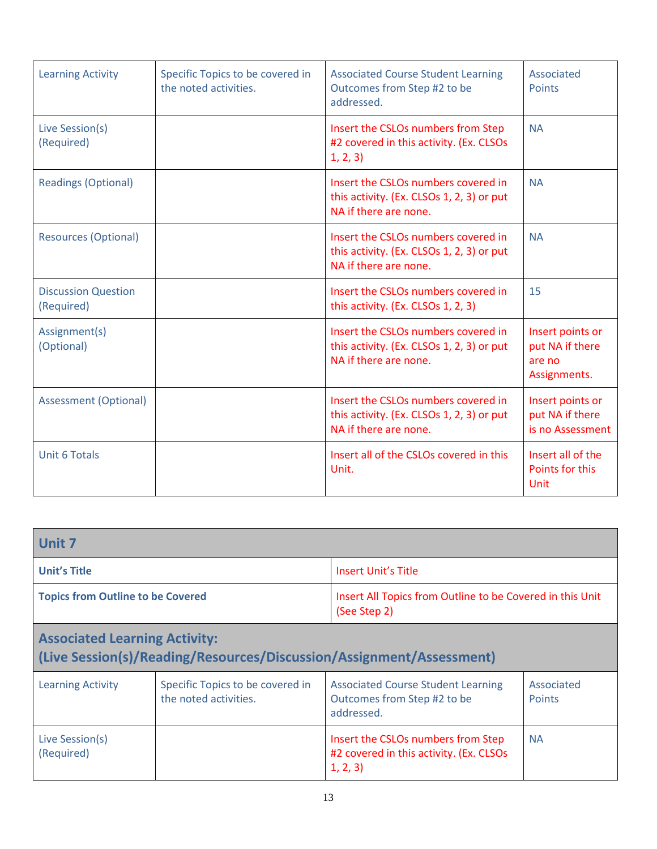| <b>Learning Activity</b>                 | Specific Topics to be covered in<br>the noted activities. | <b>Associated Course Student Learning</b><br>Outcomes from Step #2 to be<br>addressed.                    | Associated<br><b>Points</b>                                   |
|------------------------------------------|-----------------------------------------------------------|-----------------------------------------------------------------------------------------------------------|---------------------------------------------------------------|
| Live Session(s)<br>(Required)            |                                                           | Insert the CSLOs numbers from Step<br>#2 covered in this activity. (Ex. CLSOs<br>1, 2, 3)                 | <b>NA</b>                                                     |
| <b>Readings (Optional)</b>               |                                                           | Insert the CSLOs numbers covered in<br>this activity. (Ex. CLSOs 1, 2, 3) or put<br>NA if there are none. | <b>NA</b>                                                     |
| <b>Resources (Optional)</b>              |                                                           | Insert the CSLOs numbers covered in<br>this activity. (Ex. CLSOs 1, 2, 3) or put<br>NA if there are none. | <b>NA</b>                                                     |
| <b>Discussion Question</b><br>(Required) |                                                           | Insert the CSLOs numbers covered in<br>this activity. (Ex. CLSOs 1, 2, 3)                                 | 15                                                            |
| Assignment(s)<br>(Optional)              |                                                           | Insert the CSLOs numbers covered in<br>this activity. (Ex. CLSOs 1, 2, 3) or put<br>NA if there are none. | Insert points or<br>put NA if there<br>are no<br>Assignments. |
| <b>Assessment (Optional)</b>             |                                                           | Insert the CSLOs numbers covered in<br>this activity. (Ex. CLSOs 1, 2, 3) or put<br>NA if there are none. | Insert points or<br>put NA if there<br>is no Assessment       |
| <b>Unit 6 Totals</b>                     |                                                           | Insert all of the CSLOs covered in this<br>Unit.                                                          | Insert all of the<br>Points for this<br>Unit                  |

| <b>Unit 7</b>                            |                                                           |                                                                                           |                             |
|------------------------------------------|-----------------------------------------------------------|-------------------------------------------------------------------------------------------|-----------------------------|
| <b>Unit's Title</b>                      |                                                           | Insert Unit's Title                                                                       |                             |
| <b>Topics from Outline to be Covered</b> |                                                           | Insert All Topics from Outline to be Covered in this Unit<br>(See Step 2)                 |                             |
| <b>Associated Learning Activity:</b>     |                                                           | (Live Session(s)/Reading/Resources/Discussion/Assignment/Assessment)                      |                             |
| <b>Learning Activity</b>                 | Specific Topics to be covered in<br>the noted activities. | <b>Associated Course Student Learning</b><br>Outcomes from Step #2 to be<br>addressed.    | Associated<br><b>Points</b> |
| Live Session(s)<br>(Required)            |                                                           | Insert the CSLOs numbers from Step<br>#2 covered in this activity. (Ex. CLSOs<br>1, 2, 3) | <b>NA</b>                   |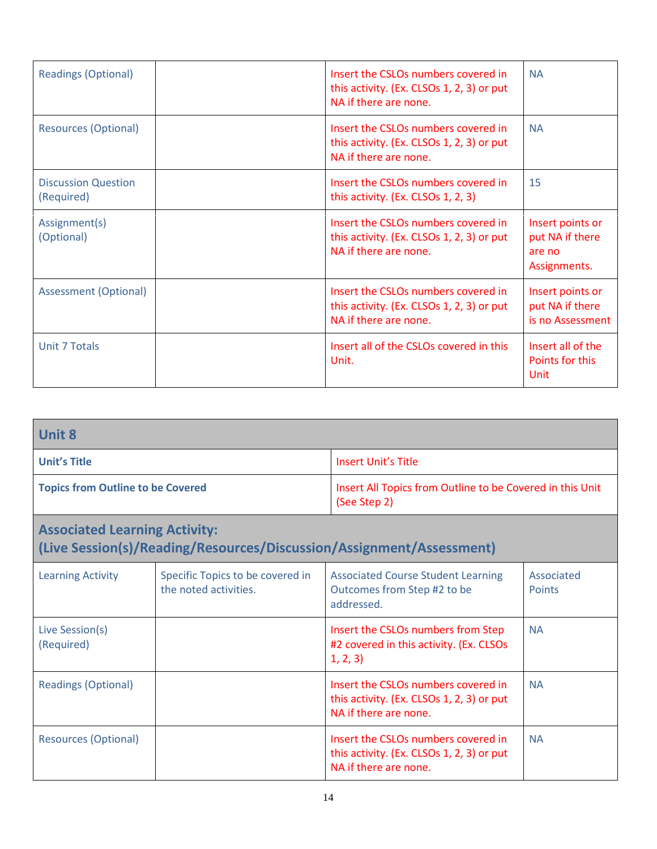| <b>Readings (Optional)</b>               | Insert the CSLOs numbers covered in<br>this activity. (Ex. CLSOs 1, 2, 3) or put<br>NA if there are none. | <b>NA</b>                                                     |
|------------------------------------------|-----------------------------------------------------------------------------------------------------------|---------------------------------------------------------------|
| <b>Resources (Optional)</b>              | Insert the CSLOs numbers covered in<br>this activity. (Ex. CLSOs 1, 2, 3) or put<br>NA if there are none. | <b>NA</b>                                                     |
| <b>Discussion Question</b><br>(Required) | Insert the CSLOs numbers covered in<br>this activity. (Ex. CLSOs 1, 2, 3)                                 | 15                                                            |
| Assignment(s)<br>(Optional)              | Insert the CSLOs numbers covered in<br>this activity. (Ex. CLSOs 1, 2, 3) or put<br>NA if there are none. | Insert points or<br>put NA if there<br>are no<br>Assignments. |
| <b>Assessment (Optional)</b>             | Insert the CSLOs numbers covered in<br>this activity. (Ex. CLSOs 1, 2, 3) or put<br>NA if there are none. | Insert points or<br>put NA if there<br>is no Assessment       |
| <b>Unit 7 Totals</b>                     | Insert all of the CSLOs covered in this<br>Unit.                                                          | Insert all of the<br>Points for this<br>Unit                  |

| <b>Unit 8</b>                            |                                                                           |
|------------------------------------------|---------------------------------------------------------------------------|
| <b>Unit's Title</b>                      | <b>Insert Unit's Title</b>                                                |
| <b>Topics from Outline to be Covered</b> | Insert All Topics from Outline to be Covered in this Unit<br>(See Step 2) |

#### **Associated Learning Activity: (Live Session(s)/Reading/Resources/Discussion/Assignment/Assessment)** Learning Activity Specific Topics to be covered in the noted activities. Associated Course Student Learning Outcomes from Step #2 to be addressed. Associated **Points** Live Session(s) (Required) Insert the CSLOs numbers from Step #2 covered in this activity. (Ex. CLSOs 1, 2, 3) NA Readings (Optional) **Insert the CSLOs numbers covered in** this activity. (Ex. CLSOs 1, 2, 3) or put NA if there are none. NA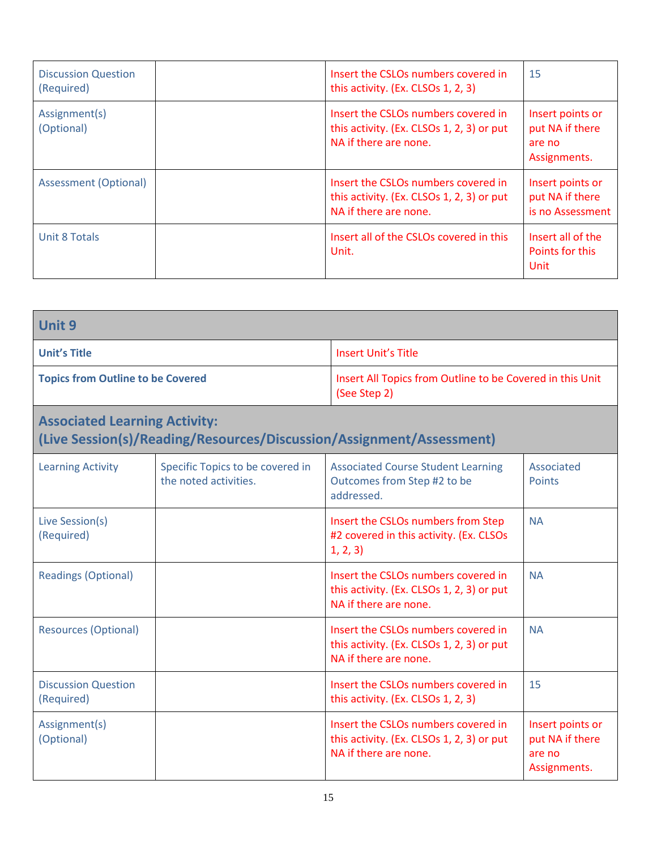| <b>Discussion Question</b><br>(Required) | Insert the CSLOs numbers covered in<br>this activity. (Ex. CLSOs 1, 2, 3)                                 | 15                                                            |
|------------------------------------------|-----------------------------------------------------------------------------------------------------------|---------------------------------------------------------------|
| Assignment(s)<br>(Optional)              | Insert the CSLOs numbers covered in<br>this activity. (Ex. CLSOs 1, 2, 3) or put<br>NA if there are none. | Insert points or<br>put NA if there<br>are no<br>Assignments. |
| <b>Assessment (Optional)</b>             | Insert the CSLOs numbers covered in<br>this activity. (Ex. CLSOs 1, 2, 3) or put<br>NA if there are none. | Insert points or<br>put NA if there<br>is no Assessment       |
| Unit 8 Totals                            | Insert all of the CSLOs covered in this<br>Unit.                                                          | Insert all of the<br>Points for this<br>Unit                  |

| Unit 9                                                                                                       |                                                           |                                                                                                           |                                                               |  |
|--------------------------------------------------------------------------------------------------------------|-----------------------------------------------------------|-----------------------------------------------------------------------------------------------------------|---------------------------------------------------------------|--|
| <b>Unit's Title</b>                                                                                          |                                                           | <b>Insert Unit's Title</b>                                                                                |                                                               |  |
| <b>Topics from Outline to be Covered</b>                                                                     |                                                           | (See Step 2)                                                                                              | Insert All Topics from Outline to be Covered in this Unit     |  |
| <b>Associated Learning Activity:</b><br>(Live Session(s)/Reading/Resources/Discussion/Assignment/Assessment) |                                                           |                                                                                                           |                                                               |  |
| <b>Learning Activity</b>                                                                                     | Specific Topics to be covered in<br>the noted activities. | <b>Associated Course Student Learning</b><br>Outcomes from Step #2 to be<br>addressed.                    | Associated<br>Points                                          |  |
| Live Session(s)<br>(Required)                                                                                |                                                           | Insert the CSLOs numbers from Step<br>#2 covered in this activity. (Ex. CLSOs<br>1, 2, 3)                 | <b>NA</b>                                                     |  |
| <b>Readings (Optional)</b>                                                                                   |                                                           | Insert the CSLOs numbers covered in<br>this activity. (Ex. CLSOs 1, 2, 3) or put<br>NA if there are none. | <b>NA</b>                                                     |  |
| <b>Resources (Optional)</b>                                                                                  |                                                           | Insert the CSLOs numbers covered in<br>this activity. (Ex. CLSOs 1, 2, 3) or put<br>NA if there are none. | <b>NA</b>                                                     |  |
| <b>Discussion Question</b><br>(Required)                                                                     |                                                           | Insert the CSLOs numbers covered in<br>this activity. (Ex. CLSOs 1, 2, 3)                                 | 15                                                            |  |
| Assignment(s)<br>(Optional)                                                                                  |                                                           | Insert the CSLOs numbers covered in<br>this activity. (Ex. CLSOs 1, 2, 3) or put<br>NA if there are none. | Insert points or<br>put NA if there<br>are no<br>Assignments. |  |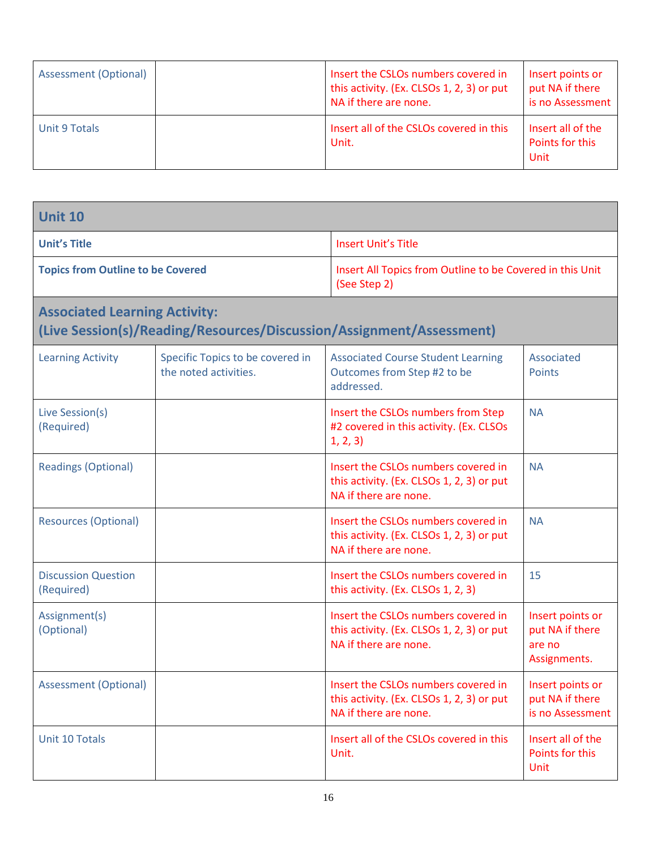| Assessment (Optional) | Insert the CSLOs numbers covered in<br>this activity. (Ex. CLSOs 1, 2, 3) or put<br>NA if there are none. | Insert points or<br>put NA if there<br>is no Assessment |
|-----------------------|-----------------------------------------------------------------------------------------------------------|---------------------------------------------------------|
| Unit 9 Totals         | Insert all of the CSLOs covered in this<br>Unit.                                                          | Insert all of the<br>Points for this<br>Unit            |

| <b>Unit 10</b>                           |                                                                                                              |                                                                                                           |                                                               |
|------------------------------------------|--------------------------------------------------------------------------------------------------------------|-----------------------------------------------------------------------------------------------------------|---------------------------------------------------------------|
| <b>Unit's Title</b>                      |                                                                                                              | <b>Insert Unit's Title</b>                                                                                |                                                               |
| <b>Topics from Outline to be Covered</b> |                                                                                                              | Insert All Topics from Outline to be Covered in this Unit<br>(See Step 2)                                 |                                                               |
|                                          | <b>Associated Learning Activity:</b><br>(Live Session(s)/Reading/Resources/Discussion/Assignment/Assessment) |                                                                                                           |                                                               |
| <b>Learning Activity</b>                 | Specific Topics to be covered in<br>the noted activities.                                                    | <b>Associated Course Student Learning</b><br>Outcomes from Step #2 to be<br>addressed.                    | Associated<br><b>Points</b>                                   |
| Live Session(s)<br>(Required)            |                                                                                                              | Insert the CSLOs numbers from Step<br>#2 covered in this activity. (Ex. CLSOs<br>1, 2, 3)                 | <b>NA</b>                                                     |
| <b>Readings (Optional)</b>               |                                                                                                              | Insert the CSLOs numbers covered in<br>this activity. (Ex. CLSOs 1, 2, 3) or put<br>NA if there are none. | <b>NA</b>                                                     |
| <b>Resources (Optional)</b>              |                                                                                                              | Insert the CSLOs numbers covered in<br>this activity. (Ex. CLSOs 1, 2, 3) or put<br>NA if there are none. | <b>NA</b>                                                     |
| <b>Discussion Question</b><br>(Required) |                                                                                                              | Insert the CSLOs numbers covered in<br>this activity. (Ex. CLSOs 1, 2, 3)                                 | 15                                                            |
| Assignment(s)<br>(Optional)              |                                                                                                              | Insert the CSLOs numbers covered in<br>this activity. (Ex. CLSOs 1, 2, 3) or put<br>NA if there are none. | Insert points or<br>put NA if there<br>are no<br>Assignments. |
| <b>Assessment (Optional)</b>             |                                                                                                              | Insert the CSLOs numbers covered in<br>this activity. (Ex. CLSOs 1, 2, 3) or put<br>NA if there are none. | Insert points or<br>put NA if there<br>is no Assessment       |
| Unit 10 Totals                           |                                                                                                              | Insert all of the CSLOs covered in this<br>Unit.                                                          | Insert all of the<br>Points for this<br><b>Unit</b>           |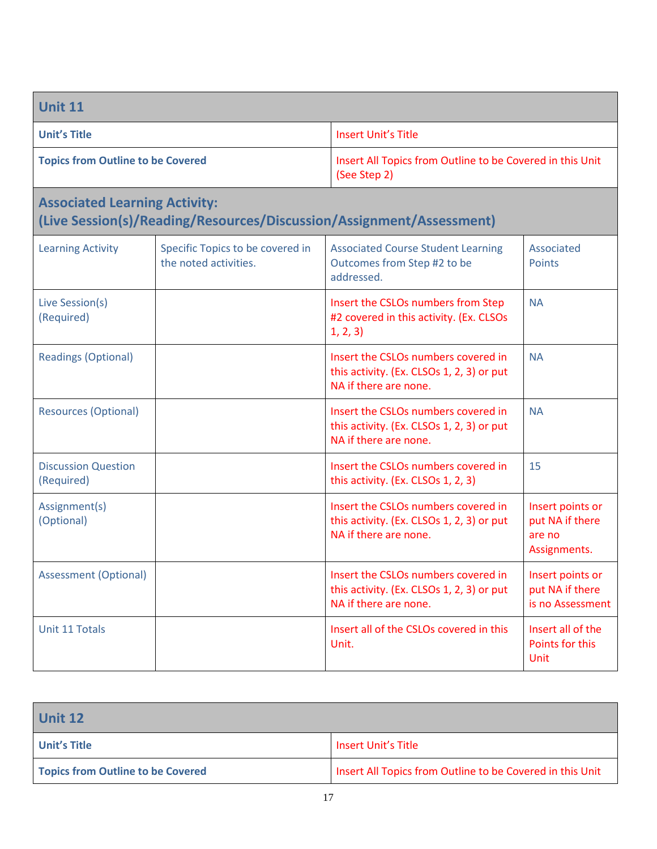| <b>Unit 11</b>                                                                                               |                                                           |                                                                                                           |                                                               |
|--------------------------------------------------------------------------------------------------------------|-----------------------------------------------------------|-----------------------------------------------------------------------------------------------------------|---------------------------------------------------------------|
| <b>Unit's Title</b>                                                                                          |                                                           | <b>Insert Unit's Title</b>                                                                                |                                                               |
| <b>Topics from Outline to be Covered</b>                                                                     |                                                           | Insert All Topics from Outline to be Covered in this Unit<br>(See Step 2)                                 |                                                               |
| <b>Associated Learning Activity:</b><br>(Live Session(s)/Reading/Resources/Discussion/Assignment/Assessment) |                                                           |                                                                                                           |                                                               |
| <b>Learning Activity</b>                                                                                     | Specific Topics to be covered in<br>the noted activities. | <b>Associated Course Student Learning</b><br>Outcomes from Step #2 to be<br>addressed.                    | Associated<br><b>Points</b>                                   |
| Live Session(s)<br>(Required)                                                                                |                                                           | Insert the CSLOs numbers from Step<br>#2 covered in this activity. (Ex. CLSOs<br>1, 2, 3)                 | <b>NA</b>                                                     |
| <b>Readings (Optional)</b>                                                                                   |                                                           | Insert the CSLOs numbers covered in<br>this activity. (Ex. CLSOs 1, 2, 3) or put<br>NA if there are none. | <b>NA</b>                                                     |
| <b>Resources (Optional)</b>                                                                                  |                                                           | Insert the CSLOs numbers covered in<br>this activity. (Ex. CLSOs 1, 2, 3) or put<br>NA if there are none. | <b>NA</b>                                                     |
| <b>Discussion Question</b><br>(Required)                                                                     |                                                           | Insert the CSLOs numbers covered in<br>this activity. (Ex. CLSOs 1, 2, 3)                                 | 15                                                            |
| Assignment(s)<br>(Optional)                                                                                  |                                                           | Insert the CSLOs numbers covered in<br>this activity. (Ex. CLSOs 1, 2, 3) or put<br>NA if there are none. | Insert points or<br>put NA if there<br>are no<br>Assignments. |
| <b>Assessment (Optional)</b>                                                                                 |                                                           | Insert the CSLOs numbers covered in<br>this activity. (Ex. CLSOs 1, 2, 3) or put<br>NA if there are none. | Insert points or<br>put NA if there<br>is no Assessment       |
| Unit 11 Totals                                                                                               |                                                           | Insert all of the CSLOs covered in this<br>Unit.                                                          | Insert all of the<br>Points for this<br>Unit                  |

| <b>Unit 12</b>                    |                                                           |
|-----------------------------------|-----------------------------------------------------------|
| Unit's Title                      | Insert Unit's Title                                       |
| Topics from Outline to be Covered | Insert All Topics from Outline to be Covered in this Unit |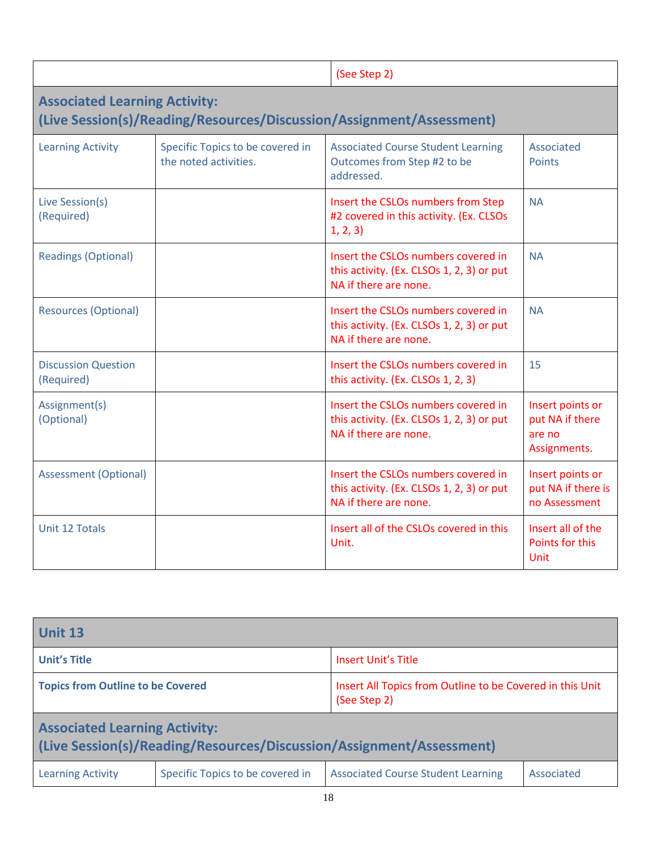|                                          |                                                           | (See Step 2)                                                                                              |                                                               |
|------------------------------------------|-----------------------------------------------------------|-----------------------------------------------------------------------------------------------------------|---------------------------------------------------------------|
| <b>Associated Learning Activity:</b>     |                                                           | (Live Session(s)/Reading/Resources/Discussion/Assignment/Assessment)                                      |                                                               |
| <b>Learning Activity</b>                 | Specific Topics to be covered in<br>the noted activities. | <b>Associated Course Student Learning</b><br>Outcomes from Step #2 to be<br>addressed.                    | Associated<br><b>Points</b>                                   |
| Live Session(s)<br>(Required)            |                                                           | Insert the CSLOs numbers from Step<br>#2 covered in this activity. (Ex. CLSOs<br>1, 2, 3)                 | <b>NA</b>                                                     |
| <b>Readings (Optional)</b>               |                                                           | Insert the CSLOs numbers covered in<br>this activity. (Ex. CLSOs 1, 2, 3) or put<br>NA if there are none. | <b>NA</b>                                                     |
| <b>Resources (Optional)</b>              |                                                           | Insert the CSLOs numbers covered in<br>this activity. (Ex. CLSOs 1, 2, 3) or put<br>NA if there are none. | <b>NA</b>                                                     |
| <b>Discussion Question</b><br>(Required) |                                                           | Insert the CSLOs numbers covered in<br>this activity. (Ex. CLSOs 1, 2, 3)                                 | 15                                                            |
| Assignment(s)<br>(Optional)              |                                                           | Insert the CSLOs numbers covered in<br>this activity. (Ex. CLSOs 1, 2, 3) or put<br>NA if there are none. | Insert points or<br>put NA if there<br>are no<br>Assignments. |
| <b>Assessment (Optional)</b>             |                                                           | Insert the CSLOs numbers covered in<br>this activity. (Ex. CLSOs 1, 2, 3) or put<br>NA if there are none. | Insert points or<br>put NA if there is<br>no Assessment       |
| Unit 12 Totals                           |                                                           | Insert all of the CSLOs covered in this<br>Unit.                                                          | Insert all of the<br>Points for this<br>Unit                  |

| <b>Unit 13</b>                                                                                               |                                  |                                                                           |            |
|--------------------------------------------------------------------------------------------------------------|----------------------------------|---------------------------------------------------------------------------|------------|
| <b>Unit's Title</b>                                                                                          |                                  | Insert Unit's Title                                                       |            |
| <b>Topics from Outline to be Covered</b>                                                                     |                                  | Insert All Topics from Outline to be Covered in this Unit<br>(See Step 2) |            |
| <b>Associated Learning Activity:</b><br>(Live Session(s)/Reading/Resources/Discussion/Assignment/Assessment) |                                  |                                                                           |            |
| <b>Learning Activity</b>                                                                                     | Specific Topics to be covered in | <b>Associated Course Student Learning</b>                                 | Associated |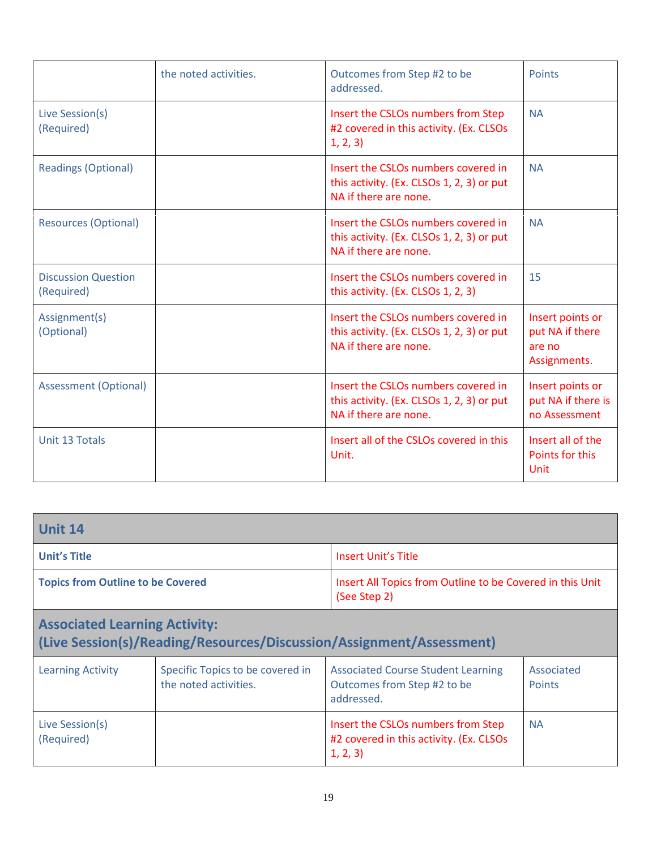|                                          | the noted activities. | Outcomes from Step #2 to be<br>addressed.                                                                 | <b>Points</b>                                                 |
|------------------------------------------|-----------------------|-----------------------------------------------------------------------------------------------------------|---------------------------------------------------------------|
| Live Session(s)<br>(Required)            |                       | Insert the CSLOs numbers from Step<br>#2 covered in this activity. (Ex. CLSOs<br>1, 2, 3)                 | <b>NA</b>                                                     |
| <b>Readings (Optional)</b>               |                       | Insert the CSLOs numbers covered in<br>this activity. (Ex. CLSOs 1, 2, 3) or put<br>NA if there are none. | <b>NA</b>                                                     |
| <b>Resources (Optional)</b>              |                       | Insert the CSLOs numbers covered in<br>this activity. (Ex. CLSOs 1, 2, 3) or put<br>NA if there are none. | <b>NA</b>                                                     |
| <b>Discussion Question</b><br>(Required) |                       | Insert the CSLOs numbers covered in<br>this activity. (Ex. CLSOs 1, 2, 3)                                 | 15                                                            |
| Assignment(s)<br>(Optional)              |                       | Insert the CSLOs numbers covered in<br>this activity. (Ex. CLSOs 1, 2, 3) or put<br>NA if there are none. | Insert points or<br>put NA if there<br>are no<br>Assignments. |
| <b>Assessment (Optional)</b>             |                       | Insert the CSLOs numbers covered in<br>this activity. (Ex. CLSOs 1, 2, 3) or put<br>NA if there are none. | Insert points or<br>put NA if there is<br>no Assessment       |
| Unit 13 Totals                           |                       | Insert all of the CSLOs covered in this<br>Unit.                                                          | Insert all of the<br>Points for this<br><b>Unit</b>           |

| Unit 14                                  |                                                           |                                                                                           |                             |
|------------------------------------------|-----------------------------------------------------------|-------------------------------------------------------------------------------------------|-----------------------------|
| <b>Unit's Title</b>                      |                                                           | <b>Insert Unit's Title</b>                                                                |                             |
| <b>Topics from Outline to be Covered</b> |                                                           | Insert All Topics from Outline to be Covered in this Unit<br>(See Step 2)                 |                             |
| <b>Associated Learning Activity:</b>     |                                                           | (Live Session(s)/Reading/Resources/Discussion/Assignment/Assessment)                      |                             |
| <b>Learning Activity</b>                 | Specific Topics to be covered in<br>the noted activities. | <b>Associated Course Student Learning</b><br>Outcomes from Step #2 to be<br>addressed.    | Associated<br><b>Points</b> |
| Live Session(s)<br>(Required)            |                                                           | Insert the CSLOs numbers from Step<br>#2 covered in this activity. (Ex. CLSOs<br>1, 2, 3) | <b>NA</b>                   |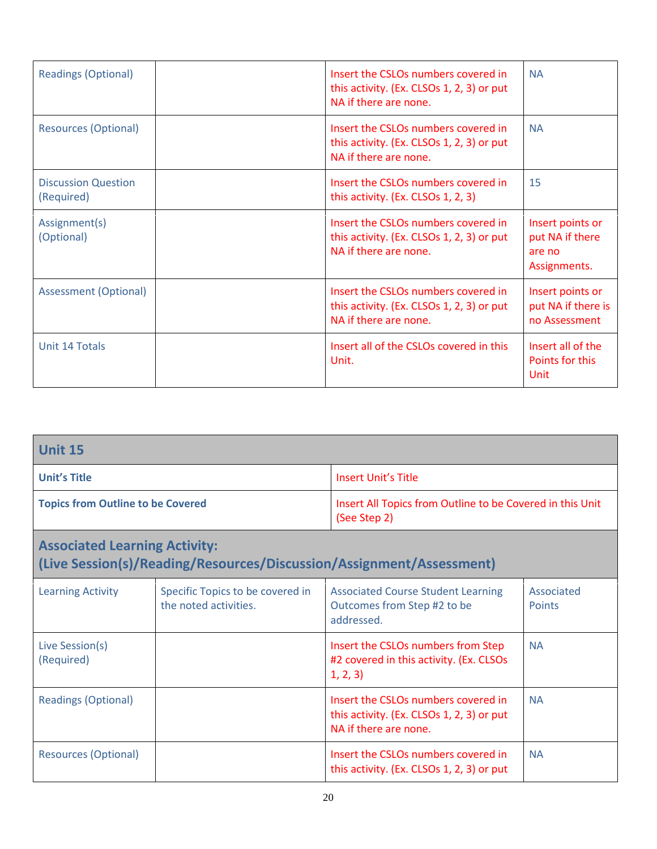| <b>Readings (Optional)</b>               | Insert the CSLOs numbers covered in<br>this activity. (Ex. CLSOs 1, 2, 3) or put<br>NA if there are none. | <b>NA</b>                                                     |
|------------------------------------------|-----------------------------------------------------------------------------------------------------------|---------------------------------------------------------------|
| <b>Resources (Optional)</b>              | Insert the CSLOs numbers covered in<br>this activity. (Ex. CLSOs 1, 2, 3) or put<br>NA if there are none. | <b>NA</b>                                                     |
| <b>Discussion Question</b><br>(Required) | Insert the CSLOs numbers covered in<br>this activity. (Ex. CLSOs 1, 2, 3)                                 | 15                                                            |
| Assignment(s)<br>(Optional)              | Insert the CSLOs numbers covered in<br>this activity. (Ex. CLSOs 1, 2, 3) or put<br>NA if there are none. | Insert points or<br>put NA if there<br>are no<br>Assignments. |
| <b>Assessment (Optional)</b>             | Insert the CSLOs numbers covered in<br>this activity. (Ex. CLSOs 1, 2, 3) or put<br>NA if there are none. | Insert points or<br>put NA if there is<br>no Assessment       |
| Unit 14 Totals                           | Insert all of the CSLOs covered in this<br>Unit.                                                          | Insert all of the<br>Points for this<br>Unit                  |

| <b>Unit 15</b>                       |                                                                                                                       |                                                                                                           |                             |
|--------------------------------------|-----------------------------------------------------------------------------------------------------------------------|-----------------------------------------------------------------------------------------------------------|-----------------------------|
| <b>Unit's Title</b>                  |                                                                                                                       | Insert Unit's Title                                                                                       |                             |
|                                      | <b>Topics from Outline to be Covered</b><br>Insert All Topics from Outline to be Covered in this Unit<br>(See Step 2) |                                                                                                           |                             |
| <b>Associated Learning Activity:</b> | (Live Session(s)/Reading/Resources/Discussion/Assignment/Assessment)                                                  |                                                                                                           |                             |
| <b>Learning Activity</b>             | Specific Topics to be covered in<br>the noted activities.                                                             | <b>Associated Course Student Learning</b><br>Outcomes from Step #2 to be<br>addressed.                    | Associated<br><b>Points</b> |
| Live Session(s)<br>(Required)        |                                                                                                                       | Insert the CSLOs numbers from Step<br>#2 covered in this activity. (Ex. CLSOs<br>1, 2, 3)                 | <b>NA</b>                   |
| <b>Readings (Optional)</b>           |                                                                                                                       | Insert the CSLOs numbers covered in<br>this activity. (Ex. CLSOs 1, 2, 3) or put<br>NA if there are none. | <b>NA</b>                   |
| <b>Resources (Optional)</b>          |                                                                                                                       | Insert the CSLOs numbers covered in<br>this activity. (Ex. CLSOs 1, 2, 3) or put                          | <b>NA</b>                   |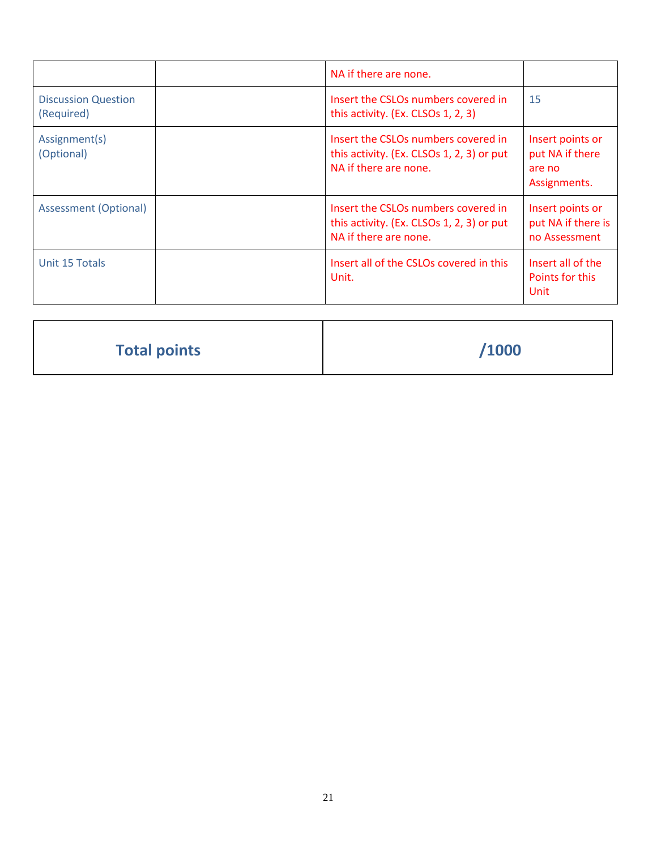|                                          | NA if there are none.                                                                                     |                                                               |
|------------------------------------------|-----------------------------------------------------------------------------------------------------------|---------------------------------------------------------------|
| <b>Discussion Question</b><br>(Required) | Insert the CSLOs numbers covered in<br>this activity. (Ex. CLSOs 1, 2, 3)                                 | 15                                                            |
| Assignment(s)<br>(Optional)              | Insert the CSLOs numbers covered in<br>this activity. (Ex. CLSOs 1, 2, 3) or put<br>NA if there are none. | Insert points or<br>put NA if there<br>are no<br>Assignments. |
| Assessment (Optional)                    | Insert the CSLOs numbers covered in<br>this activity. (Ex. CLSOs 1, 2, 3) or put<br>NA if there are none. | Insert points or<br>put NA if there is<br>no Assessment       |
| Unit 15 Totals                           | Insert all of the CSLOs covered in this<br>Unit.                                                          | Insert all of the<br>Points for this<br>Unit                  |

| <b>Total points</b> | /1000 |
|---------------------|-------|
|                     |       |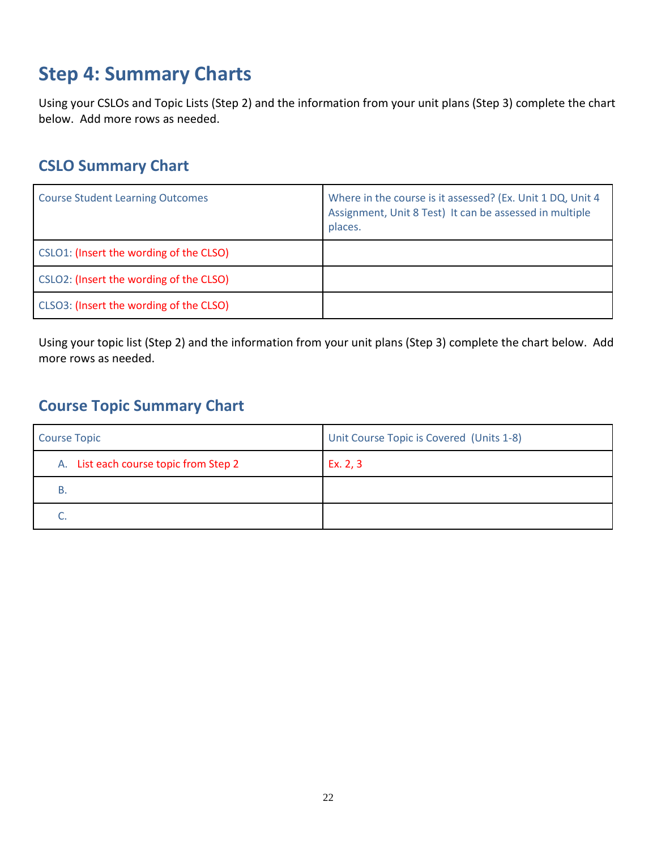# **Step 4: Summary Charts**

Using your CSLOs and Topic Lists (Step 2) and the information from your unit plans (Step 3) complete the chart below. Add more rows as needed.

# **CSLO Summary Chart**

| <b>Course Student Learning Outcomes</b> | Where in the course is it assessed? (Ex. Unit 1 DQ, Unit 4<br>Assignment, Unit 8 Test) It can be assessed in multiple<br>places. |
|-----------------------------------------|----------------------------------------------------------------------------------------------------------------------------------|
| CSLO1: (Insert the wording of the CLSO) |                                                                                                                                  |
| CSLO2: (Insert the wording of the CLSO) |                                                                                                                                  |
| CLSO3: (Insert the wording of the CLSO) |                                                                                                                                  |

Using your topic list (Step 2) and the information from your unit plans (Step 3) complete the chart below. Add more rows as needed.

# **Course Topic Summary Chart**

| <b>Course Topic</b>                   | Unit Course Topic is Covered (Units 1-8) |
|---------------------------------------|------------------------------------------|
| A. List each course topic from Step 2 | Ex. 2, 3                                 |
|                                       |                                          |
|                                       |                                          |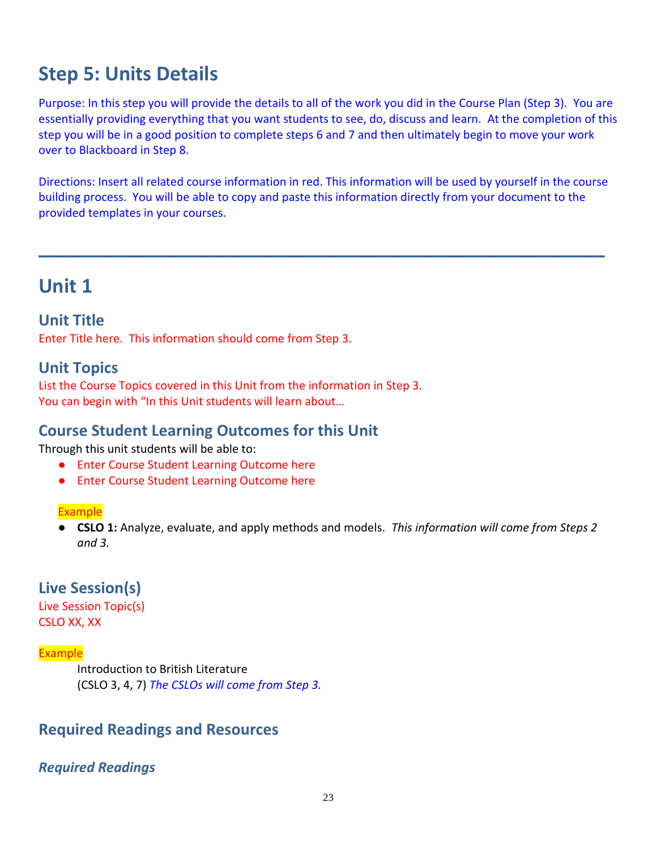# **Step 5: Units Details**

Purpose: In this step you will provide the details to all of the work you did in the Course Plan (Step 3). You are essentially providing everything that you want students to see, do, discuss and learn. At the completion of this step you will be in a good position to complete steps 6 and 7 and then ultimately begin to move your work over to Blackboard in Step 8.

Directions: Insert all related course information in red. This information will be used by yourself in the course building process. You will be able to copy and paste this information directly from your document to the provided templates in your courses.

**\_\_\_\_\_\_\_\_\_\_\_\_\_\_\_\_\_\_\_\_\_\_\_\_\_\_\_\_\_\_\_\_\_\_\_\_\_\_\_\_\_\_\_\_\_\_\_\_\_\_\_\_\_**

# **Unit 1**

### **Unit Title**

Enter Title here. This information should come from Step 3.

## **Unit Topics**

List the Course Topics covered in this Unit from the information in Step 3. You can begin with "In this Unit students will learn about...

## **Course Student Learning Outcomes for this Unit**

Through this unit students will be able to:

- Enter Course Student Learning Outcome here
- Enter Course Student Learning Outcome here

#### Example

● **CSLO 1:** Analyze, evaluate, and apply methods and models. *This information will come from Steps 2 and 3.*

## **Live Session(s)**

Live Session Topic(s) CSLO XX, XX

#### Example

Introduction to British Literature (CSLO 3, 4, 7) *The CSLOs will come from Step 3.*

# **Required Readings and Resources**

#### *Required Readings*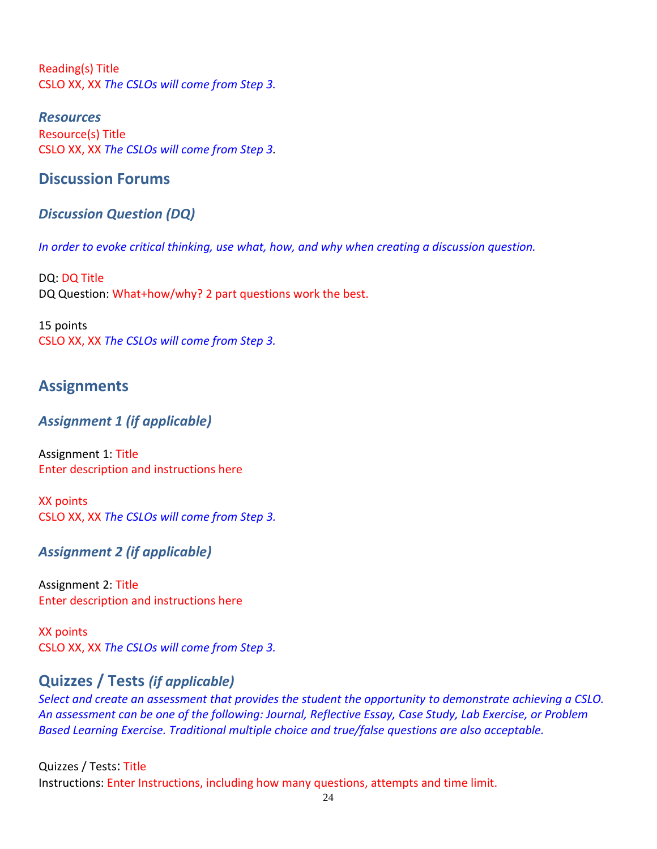Reading(s) Title CSLO XX, XX *The CSLOs will come from Step 3.*

*Resources* Resource(s) Title CSLO XX, XX *The CSLOs will come from Step 3.*

## **Discussion Forums**

## *Discussion Question (DQ)*

*In order to evoke critical thinking, use what, how, and why when creating a discussion question.* 

DQ: DQ Title DQ Question: What+how/why? 2 part questions work the best.

15 points CSLO XX, XX *The CSLOs will come from Step 3.*

# **Assignments**

### *Assignment 1 (if applicable)*

Assignment 1: Title Enter description and instructions here

XX points CSLO XX, XX *The CSLOs will come from Step 3.*

## *Assignment 2 (if applicable)*

Assignment 2: Title Enter description and instructions here

XX points CSLO XX, XX *The CSLOs will come from Step 3.*

# **Quizzes / Tests** *(if applicable)*

*Select and create an assessment that provides the student the opportunity to demonstrate achieving a CSLO. An assessment can be one of the following: Journal, Reflective Essay, Case Study, Lab Exercise, or Problem Based Learning Exercise. Traditional multiple choice and true/false questions are also acceptable.* 

#### Quizzes / Tests: Title

Instructions: Enter Instructions, including how many questions, attempts and time limit.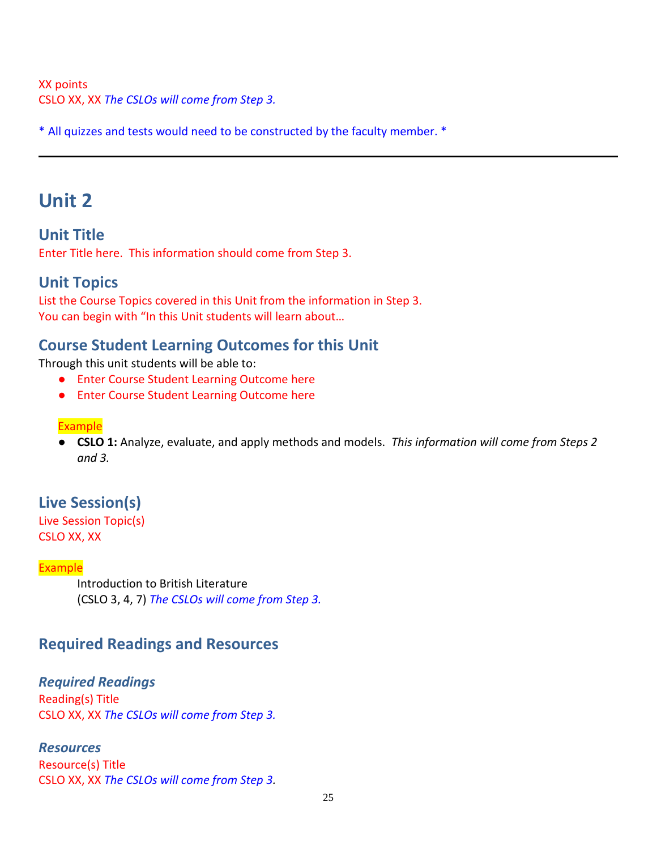#### XX points CSLO XX, XX *The CSLOs will come from Step 3.*

\* All quizzes and tests would need to be constructed by the faculty member. \*

# **Unit 2**

**Unit Title** Enter Title here. This information should come from Step 3.

## **Unit Topics**

List the Course Topics covered in this Unit from the information in Step 3. You can begin with "In this Unit students will learn about…

# **Course Student Learning Outcomes for this Unit**

Through this unit students will be able to:

- Enter Course Student Learning Outcome here
- Enter Course Student Learning Outcome here

#### Example

● **CSLO 1:** Analyze, evaluate, and apply methods and models. *This information will come from Steps 2 and 3.*

# **Live Session(s)**

Live Session Topic(s) CSLO XX, XX

#### Example

Introduction to British Literature (CSLO 3, 4, 7) *The CSLOs will come from Step 3.*

# **Required Readings and Resources**

#### *Required Readings*

Reading(s) Title CSLO XX, XX *The CSLOs will come from Step 3.*

*Resources* Resource(s) Title CSLO XX, XX *The CSLOs will come from Step 3.*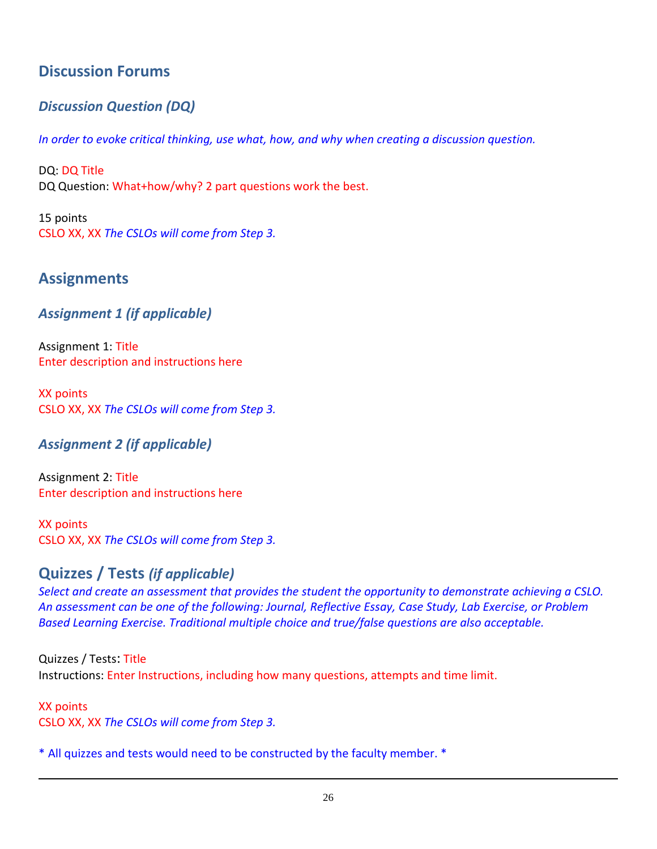# **Discussion Forums**

# *Discussion Question (DQ)*

*In order to evoke critical thinking, use what, how, and why when creating a discussion question.* 

DQ: DQ Title DQ Question: What+how/why? 2 part questions work the best.

15 points CSLO XX, XX *The CSLOs will come from Step 3.*

# **Assignments**

## *Assignment 1 (if applicable)*

Assignment 1: Title Enter description and instructions here

XX points CSLO XX, XX *The CSLOs will come from Step 3.*

## *Assignment 2 (if applicable)*

Assignment 2: Title Enter description and instructions here

XX points CSLO XX, XX *The CSLOs will come from Step 3.*

# **Quizzes / Tests** *(if applicable)*

*Select and create an assessment that provides the student the opportunity to demonstrate achieving a CSLO. An assessment can be one of the following: Journal, Reflective Essay, Case Study, Lab Exercise, or Problem Based Learning Exercise. Traditional multiple choice and true/false questions are also acceptable.* 

Quizzes / Tests: Title Instructions: Enter Instructions, including how many questions, attempts and time limit.

XX points CSLO XX, XX *The CSLOs will come from Step 3.*

\* All quizzes and tests would need to be constructed by the faculty member. \*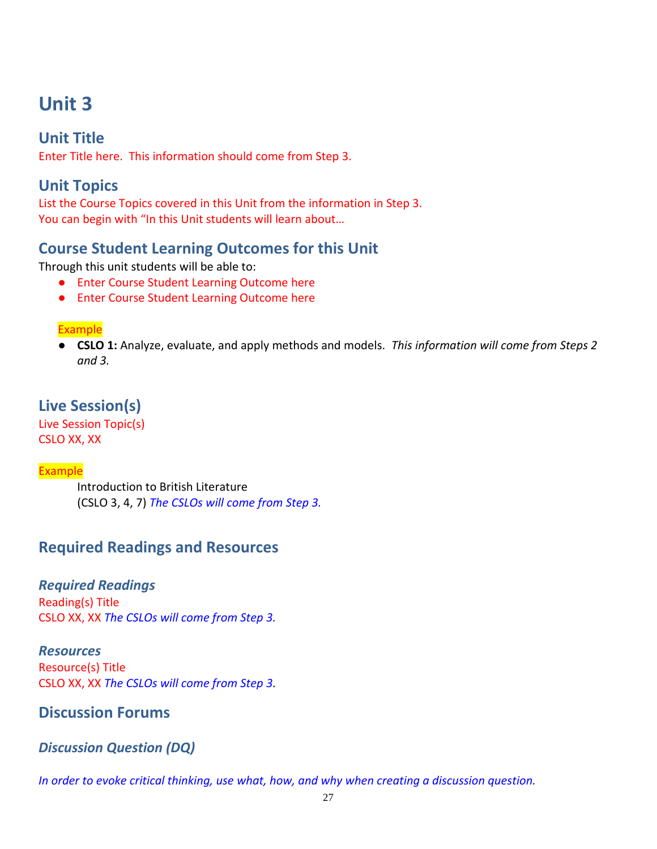# **Unit 3**

# **Unit Title**

Enter Title here. This information should come from Step 3.

## **Unit Topics**

List the Course Topics covered in this Unit from the information in Step 3. You can begin with "In this Unit students will learn about…

## **Course Student Learning Outcomes for this Unit**

Through this unit students will be able to:

- Enter Course Student Learning Outcome here
- Enter Course Student Learning Outcome here

#### Example

● **CSLO 1:** Analyze, evaluate, and apply methods and models. *This information will come from Steps 2 and 3.*

## **Live Session(s)**

Live Session Topic(s) CSLO XX, XX

#### **Example**

Introduction to British Literature (CSLO 3, 4, 7) *The CSLOs will come from Step 3.*

## **Required Readings and Resources**

#### *Required Readings*

Reading(s) Title CSLO XX, XX *The CSLOs will come from Step 3.*

*Resources* Resource(s) Title CSLO XX, XX *The CSLOs will come from Step 3.*

### **Discussion Forums**

### *Discussion Question (DQ)*

*In order to evoke critical thinking, use what, how, and why when creating a discussion question.*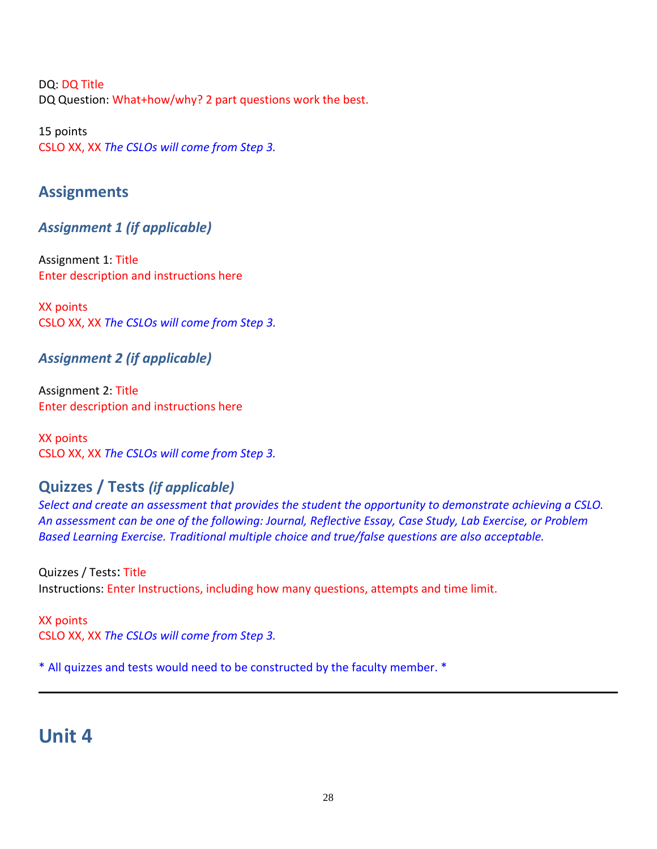DQ: DQ Title DQ Question: What+how/why? 2 part questions work the best.

15 points CSLO XX, XX *The CSLOs will come from Step 3.*

# **Assignments**

*Assignment 1 (if applicable)*

Assignment 1: Title Enter description and instructions here

XX points CSLO XX, XX *The CSLOs will come from Step 3.*

# *Assignment 2 (if applicable)*

Assignment 2: Title Enter description and instructions here

XX points CSLO XX, XX *The CSLOs will come from Step 3.*

# **Quizzes / Tests** *(if applicable)*

*Select and create an assessment that provides the student the opportunity to demonstrate achieving a CSLO. An assessment can be one of the following: Journal, Reflective Essay, Case Study, Lab Exercise, or Problem Based Learning Exercise. Traditional multiple choice and true/false questions are also acceptable.* 

Quizzes / Tests: Title Instructions: Enter Instructions, including how many questions, attempts and time limit.

XX points CSLO XX, XX *The CSLOs will come from Step 3.*

\* All quizzes and tests would need to be constructed by the faculty member. \*

# **Unit 4**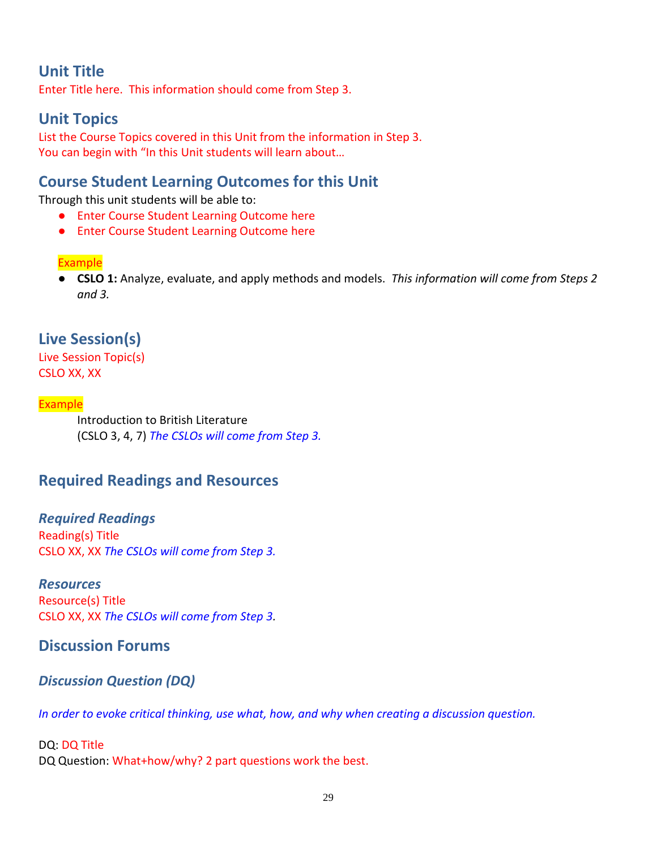# **Unit Title**

Enter Title here. This information should come from Step 3.

# **Unit Topics**

List the Course Topics covered in this Unit from the information in Step 3. You can begin with "In this Unit students will learn about...

## **Course Student Learning Outcomes for this Unit**

Through this unit students will be able to:

- Enter Course Student Learning Outcome here
- Enter Course Student Learning Outcome here

#### Example

● **CSLO 1:** Analyze, evaluate, and apply methods and models. *This information will come from Steps 2 and 3.*

# **Live Session(s)**

Live Session Topic(s) CSLO XX, XX

#### Example

Introduction to British Literature (CSLO 3, 4, 7) *The CSLOs will come from Step 3.*

## **Required Readings and Resources**

*Required Readings* Reading(s) Title CSLO XX, XX *The CSLOs will come from Step 3.*

#### *Resources*

Resource(s) Title CSLO XX, XX *The CSLOs will come from Step 3.*

#### **Discussion Forums**

#### *Discussion Question (DQ)*

*In order to evoke critical thinking, use what, how, and why when creating a discussion question.* 

#### DQ: DQ Title DQ Question: What+how/why? 2 part questions work the best.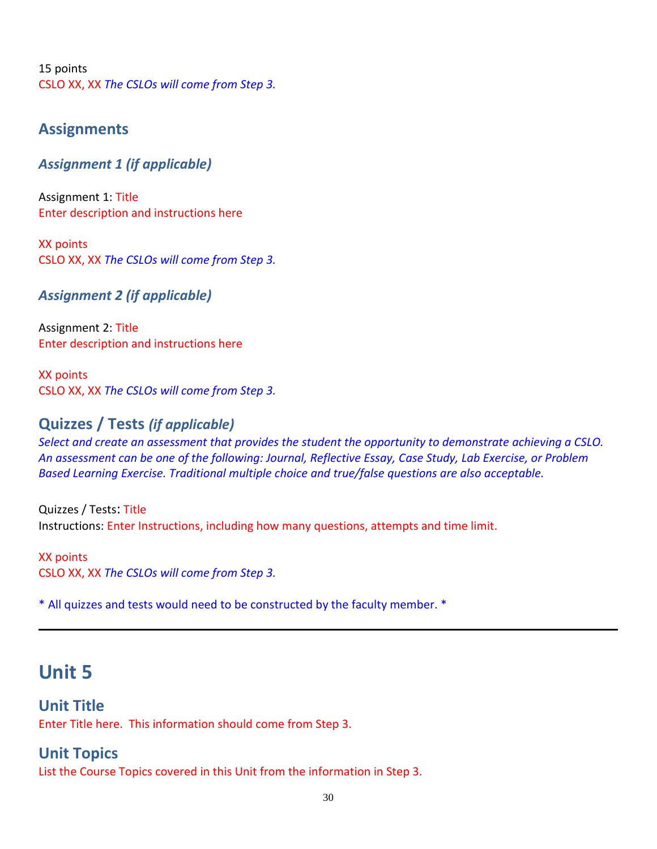15 points CSLO XX, XX *The CSLOs will come from Step 3.*

### **Assignments**

### *Assignment 1 (if applicable)*

Assignment 1: Title Enter description and instructions here

XX points CSLO XX, XX *The CSLOs will come from Step 3.*

*Assignment 2 (if applicable)*

Assignment 2: Title Enter description and instructions here

XX points CSLO XX, XX *The CSLOs will come from Step 3.*

## **Quizzes / Tests** *(if applicable)*

*Select and create an assessment that provides the student the opportunity to demonstrate achieving a CSLO. An assessment can be one of the following: Journal, Reflective Essay, Case Study, Lab Exercise, or Problem Based Learning Exercise. Traditional multiple choice and true/false questions are also acceptable.* 

Quizzes / Tests: Title Instructions: Enter Instructions, including how many questions, attempts and time limit.

XX points CSLO XX, XX *The CSLOs will come from Step 3.*

\* All quizzes and tests would need to be constructed by the faculty member. \*

# **Unit 5**

### **Unit Title**

Enter Title here. This information should come from Step 3.

### **Unit Topics**

List the Course Topics covered in this Unit from the information in Step 3.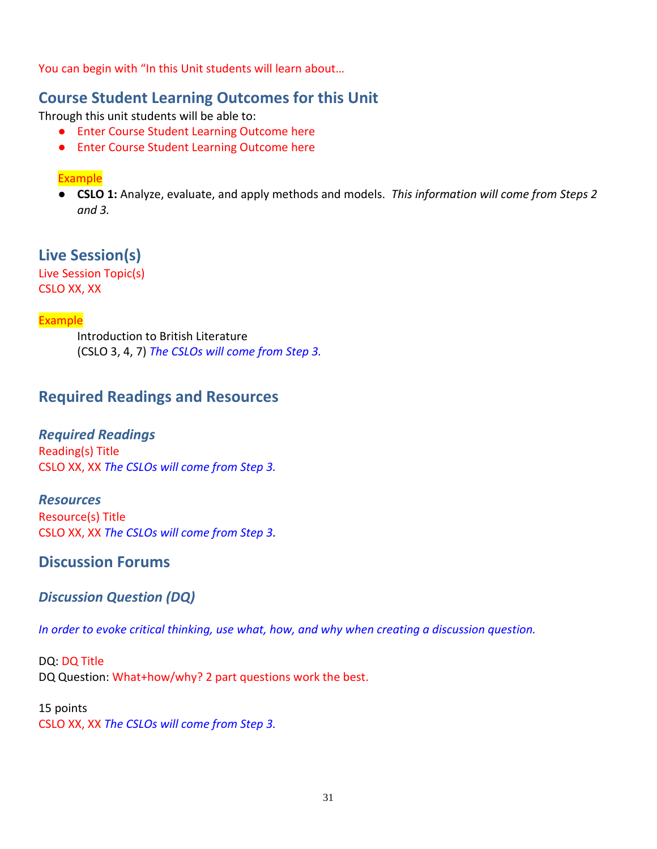You can begin with "In this Unit students will learn about...

## **Course Student Learning Outcomes for this Unit**

Through this unit students will be able to:

- Enter Course Student Learning Outcome here
- Enter Course Student Learning Outcome here

#### Example

● **CSLO 1:** Analyze, evaluate, and apply methods and models. *This information will come from Steps 2 and 3.*

**Live Session(s)** Live Session Topic(s)

CSLO XX, XX

#### Example

Introduction to British Literature (CSLO 3, 4, 7) *The CSLOs will come from Step 3.*

## **Required Readings and Resources**

#### *Required Readings*

Reading(s) Title CSLO XX, XX *The CSLOs will come from Step 3.*

#### *Resources*

Resource(s) Title CSLO XX, XX *The CSLOs will come from Step 3.*

## **Discussion Forums**

### *Discussion Question (DQ)*

*In order to evoke critical thinking, use what, how, and why when creating a discussion question.* 

DQ: DQ Title DQ Question: What+how/why? 2 part questions work the best.

#### 15 points CSLO XX, XX *The CSLOs will come from Step 3.*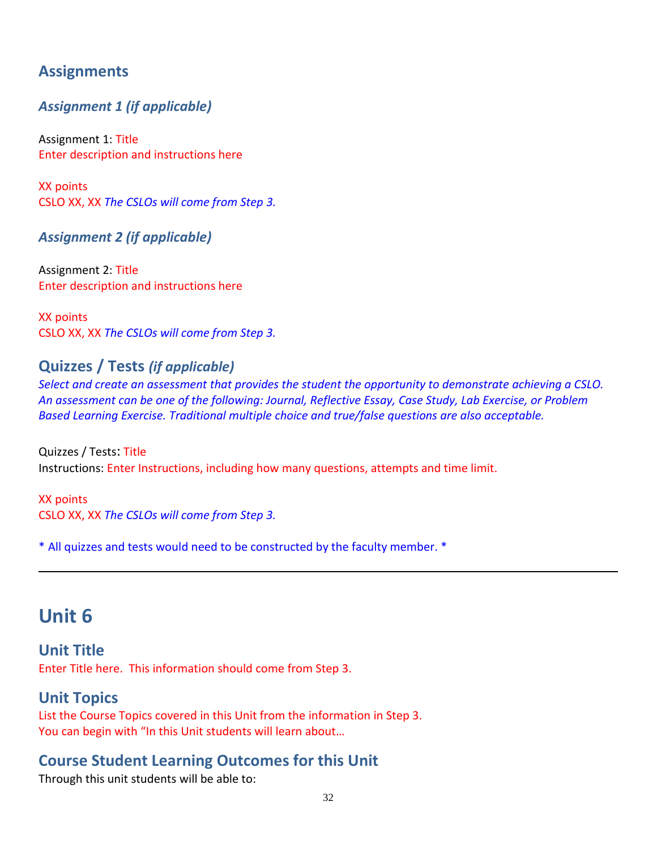# **Assignments**

## *Assignment 1 (if applicable)*

Assignment 1: Title Enter description and instructions here

XX points CSLO XX, XX *The CSLOs will come from Step 3.*

### *Assignment 2 (if applicable)*

Assignment 2: Title Enter description and instructions here

XX points CSLO XX, XX *The CSLOs will come from Step 3.*

## **Quizzes / Tests** *(if applicable)*

*Select and create an assessment that provides the student the opportunity to demonstrate achieving a CSLO. An assessment can be one of the following: Journal, Reflective Essay, Case Study, Lab Exercise, or Problem Based Learning Exercise. Traditional multiple choice and true/false questions are also acceptable.* 

Quizzes / Tests: Title Instructions: Enter Instructions, including how many questions, attempts and time limit.

XX points CSLO XX, XX *The CSLOs will come from Step 3.*

\* All quizzes and tests would need to be constructed by the faculty member. \*

# **Unit 6**

**Unit Title** Enter Title here. This information should come from Step 3.

### **Unit Topics**

List the Course Topics covered in this Unit from the information in Step 3. You can begin with "In this Unit students will learn about…

# **Course Student Learning Outcomes for this Unit**

Through this unit students will be able to: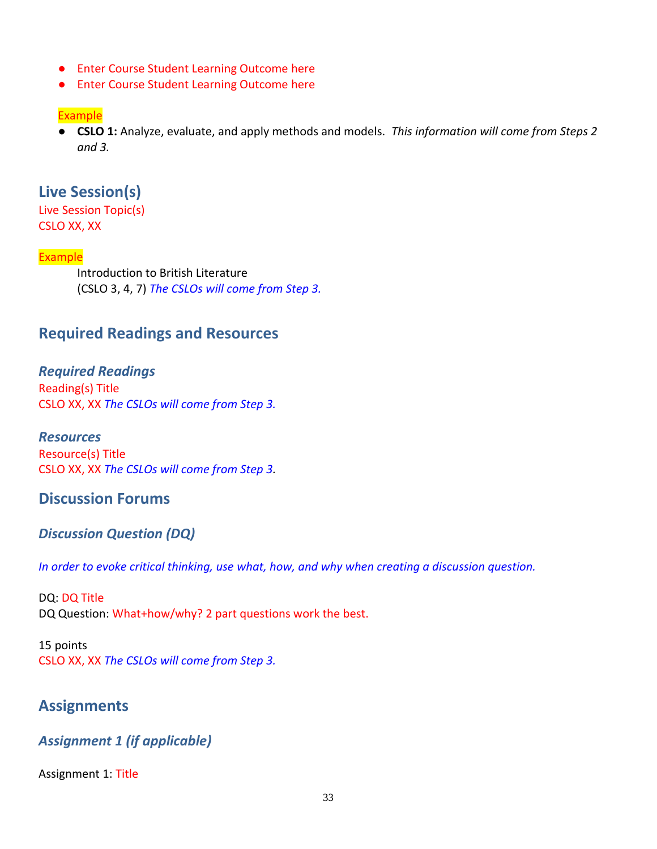- Enter Course Student Learning Outcome here
- Enter Course Student Learning Outcome here

#### Example

● **CSLO 1:** Analyze, evaluate, and apply methods and models. *This information will come from Steps 2 and 3.*

### **Live Session(s)**

Live Session Topic(s) CSLO XX, XX

#### Example

Introduction to British Literature (CSLO 3, 4, 7) *The CSLOs will come from Step 3.*

### **Required Readings and Resources**

*Required Readings* Reading(s) Title CSLO XX, XX *The CSLOs will come from Step 3.*

*Resources* Resource(s) Title CSLO XX, XX *The CSLOs will come from Step 3.*

### **Discussion Forums**

#### *Discussion Question (DQ)*

*In order to evoke critical thinking, use what, how, and why when creating a discussion question.* 

DQ: DQ Title DQ Question: What+how/why? 2 part questions work the best.

15 points CSLO XX, XX *The CSLOs will come from Step 3.*

### **Assignments**

#### *Assignment 1 (if applicable)*

Assignment 1: Title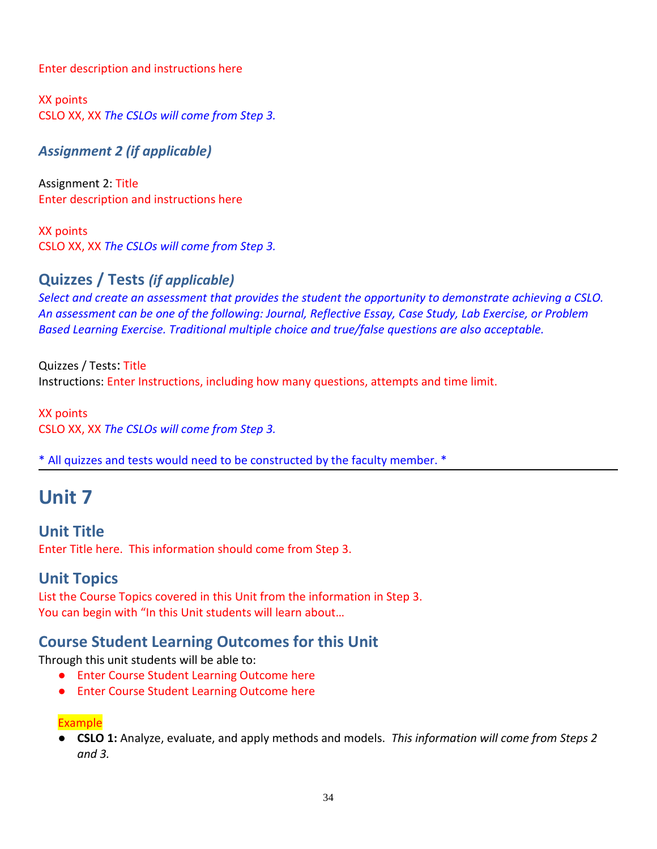Enter description and instructions here

XX points CSLO XX, XX *The CSLOs will come from Step 3.*

*Assignment 2 (if applicable)*

Assignment 2: Title Enter description and instructions here

XX points CSLO XX, XX *The CSLOs will come from Step 3.*

## **Quizzes / Tests** *(if applicable)*

*Select and create an assessment that provides the student the opportunity to demonstrate achieving a CSLO. An assessment can be one of the following: Journal, Reflective Essay, Case Study, Lab Exercise, or Problem Based Learning Exercise. Traditional multiple choice and true/false questions are also acceptable.* 

Quizzes / Tests: Title Instructions: Enter Instructions, including how many questions, attempts and time limit.

XX points CSLO XX, XX *The CSLOs will come from Step 3.*

\* All quizzes and tests would need to be constructed by the faculty member. \*

# **Unit 7**

**Unit Title** Enter Title here. This information should come from Step 3.

# **Unit Topics**

List the Course Topics covered in this Unit from the information in Step 3. You can begin with "In this Unit students will learn about...

# **Course Student Learning Outcomes for this Unit**

Through this unit students will be able to:

- Enter Course Student Learning Outcome here
- Enter Course Student Learning Outcome here

#### Example

● **CSLO 1:** Analyze, evaluate, and apply methods and models. *This information will come from Steps 2 and 3.*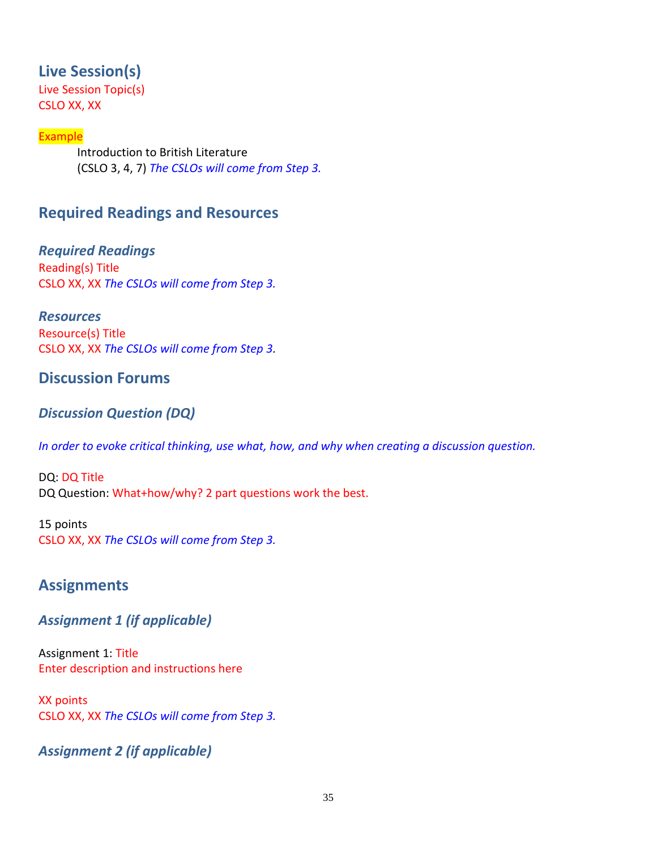## **Live Session(s)**

Live Session Topic(s) CSLO XX, XX

#### Example

Introduction to British Literature (CSLO 3, 4, 7) *The CSLOs will come from Step 3.*

# **Required Readings and Resources**

*Required Readings* Reading(s) Title CSLO XX, XX *The CSLOs will come from Step 3.*

*Resources* Resource(s) Title CSLO XX, XX *The CSLOs will come from Step 3.*

## **Discussion Forums**

### *Discussion Question (DQ)*

*In order to evoke critical thinking, use what, how, and why when creating a discussion question.* 

DQ: DQ Title DQ Question: What+how/why? 2 part questions work the best.

15 points CSLO XX, XX *The CSLOs will come from Step 3.*

## **Assignments**

### *Assignment 1 (if applicable)*

Assignment 1: Title Enter description and instructions here

XX points CSLO XX, XX *The CSLOs will come from Step 3.*

*Assignment 2 (if applicable)*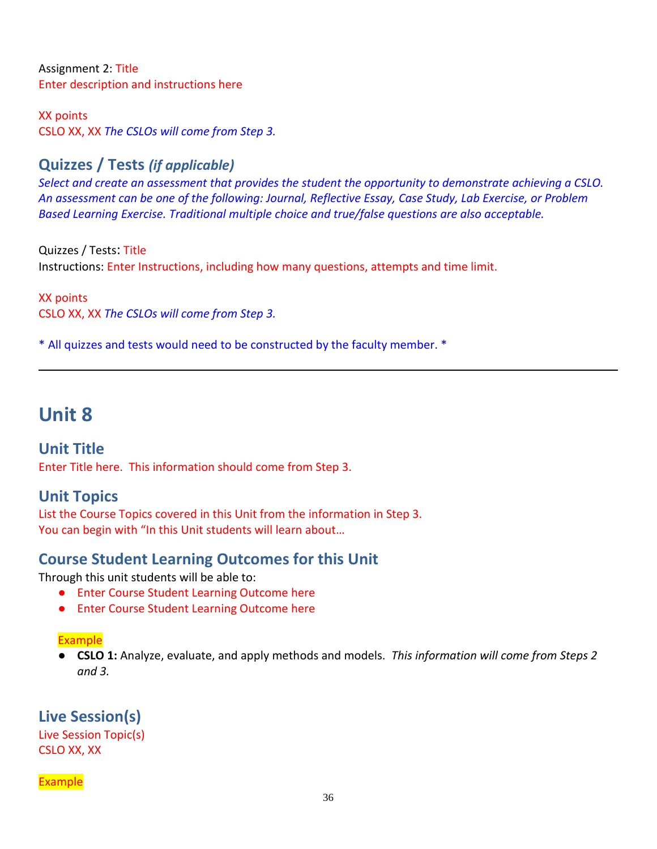Assignment 2: Title Enter description and instructions here

XX points CSLO XX, XX *The CSLOs will come from Step 3.*

# **Quizzes / Tests** *(if applicable)*

*Select and create an assessment that provides the student the opportunity to demonstrate achieving a CSLO. An assessment can be one of the following: Journal, Reflective Essay, Case Study, Lab Exercise, or Problem Based Learning Exercise. Traditional multiple choice and true/false questions are also acceptable.* 

Quizzes / Tests: Title Instructions: Enter Instructions, including how many questions, attempts and time limit.

XX points CSLO XX, XX *The CSLOs will come from Step 3.*

\* All quizzes and tests would need to be constructed by the faculty member. \*

# **Unit 8**

**Unit Title** Enter Title here. This information should come from Step 3.

# **Unit Topics**

List the Course Topics covered in this Unit from the information in Step 3. You can begin with "In this Unit students will learn about…

# **Course Student Learning Outcomes for this Unit**

Through this unit students will be able to:

- Enter Course Student Learning Outcome here
- Enter Course Student Learning Outcome here

#### Example

● **CSLO 1:** Analyze, evaluate, and apply methods and models. *This information will come from Steps 2 and 3.*

**Live Session(s)** Live Session Topic(s) CSLO XX, XX

#### **Example**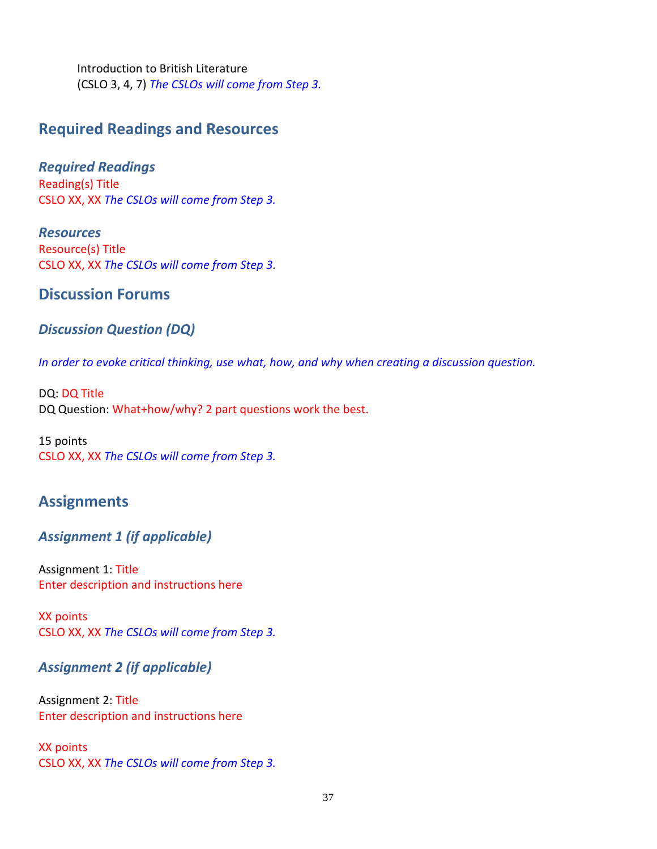Introduction to British Literature (CSLO 3, 4, 7) *The CSLOs will come from Step 3.*

## **Required Readings and Resources**

*Required Readings* Reading(s) Title CSLO XX, XX *The CSLOs will come from Step 3.*

*Resources* Resource(s) Title CSLO XX, XX *The CSLOs will come from Step 3.*

### **Discussion Forums**

#### *Discussion Question (DQ)*

*In order to evoke critical thinking, use what, how, and why when creating a discussion question.* 

DQ: DQ Title DQ Question: What+how/why? 2 part questions work the best.

15 points CSLO XX, XX *The CSLOs will come from Step 3.*

## **Assignments**

### *Assignment 1 (if applicable)*

Assignment 1: Title Enter description and instructions here

XX points CSLO XX, XX *The CSLOs will come from Step 3.*

### *Assignment 2 (if applicable)*

Assignment 2: Title Enter description and instructions here

XX points CSLO XX, XX *The CSLOs will come from Step 3.*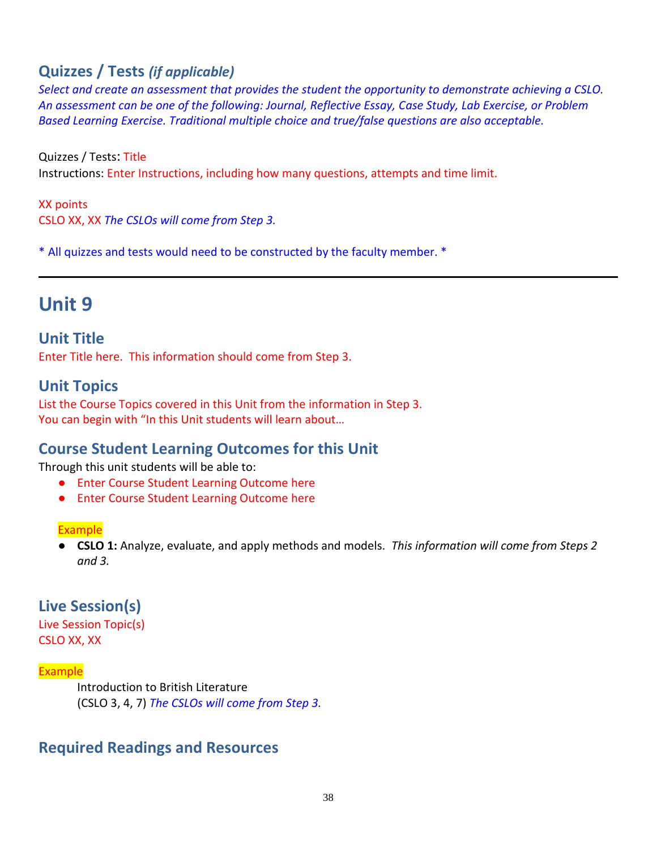# **Quizzes / Tests** *(if applicable)*

*Select and create an assessment that provides the student the opportunity to demonstrate achieving a CSLO. An assessment can be one of the following: Journal, Reflective Essay, Case Study, Lab Exercise, or Problem Based Learning Exercise. Traditional multiple choice and true/false questions are also acceptable.* 

Quizzes / Tests: Title Instructions: Enter Instructions, including how many questions, attempts and time limit.

XX points CSLO XX, XX *The CSLOs will come from Step 3.*

\* All quizzes and tests would need to be constructed by the faculty member. \*

# **Unit 9**

**Unit Title**

Enter Title here. This information should come from Step 3.

## **Unit Topics**

List the Course Topics covered in this Unit from the information in Step 3. You can begin with "In this Unit students will learn about...

# **Course Student Learning Outcomes for this Unit**

Through this unit students will be able to:

- Enter Course Student Learning Outcome here
- Enter Course Student Learning Outcome here

#### **Example**

● **CSLO 1:** Analyze, evaluate, and apply methods and models. *This information will come from Steps 2 and 3.*

# **Live Session(s)**

Live Session Topic(s) CSLO XX, XX

#### Example

Introduction to British Literature (CSLO 3, 4, 7) *The CSLOs will come from Step 3.*

## **Required Readings and Resources**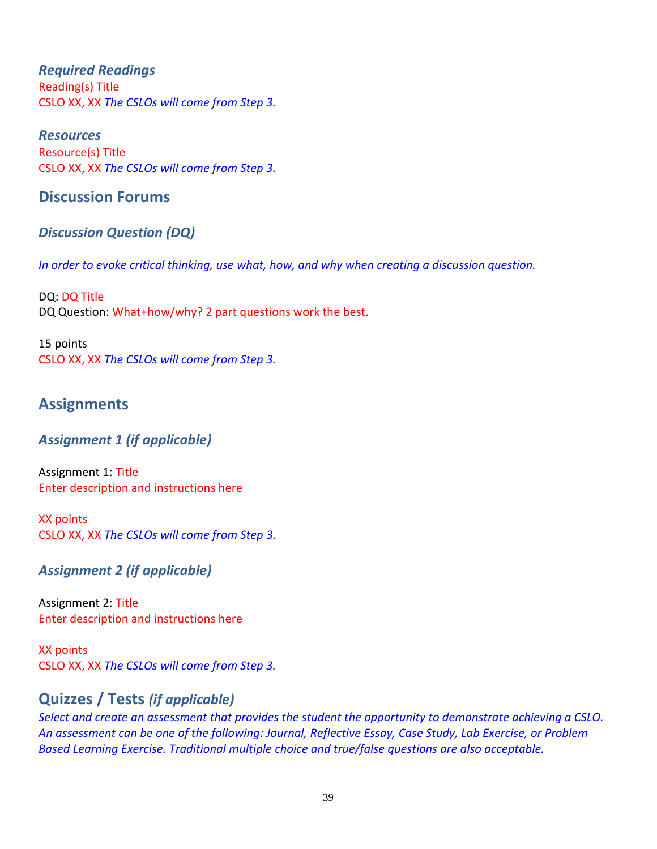#### *Required Readings* Reading(s) Title CSLO XX, XX *The CSLOs will come from Step 3.*

*Resources* Resource(s) Title CSLO XX, XX *The CSLOs will come from Step 3.*

## **Discussion Forums**

## *Discussion Question (DQ)*

*In order to evoke critical thinking, use what, how, and why when creating a discussion question.* 

DQ: DQ Title DQ Question: What+how/why? 2 part questions work the best.

15 points CSLO XX, XX *The CSLOs will come from Step 3.*

## **Assignments**

### *Assignment 1 (if applicable)*

Assignment 1: Title Enter description and instructions here

XX points CSLO XX, XX *The CSLOs will come from Step 3.*

### *Assignment 2 (if applicable)*

Assignment 2: Title Enter description and instructions here

XX points CSLO XX, XX *The CSLOs will come from Step 3.*

## **Quizzes / Tests** *(if applicable)*

*Select and create an assessment that provides the student the opportunity to demonstrate achieving a CSLO. An assessment can be one of the following: Journal, Reflective Essay, Case Study, Lab Exercise, or Problem Based Learning Exercise. Traditional multiple choice and true/false questions are also acceptable.*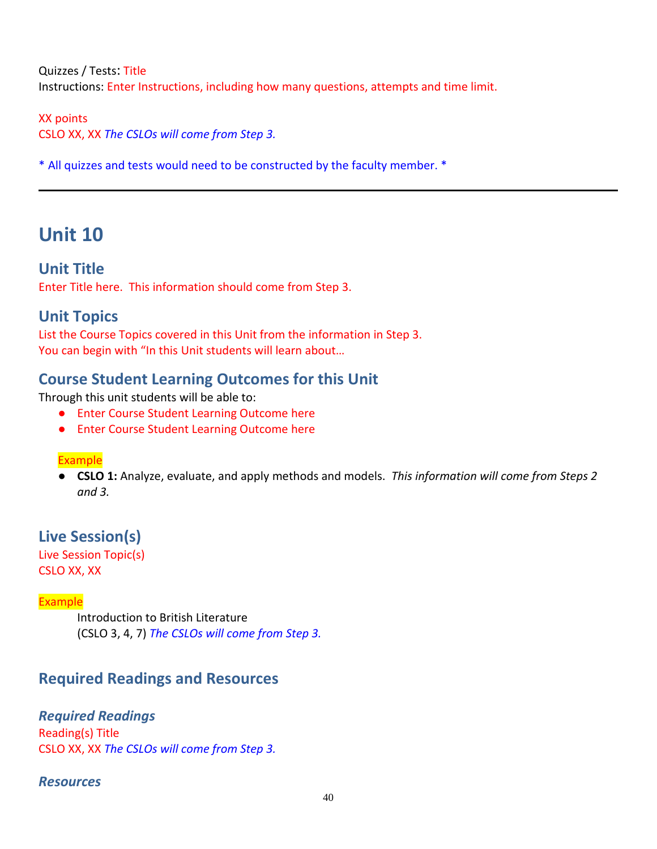Quizzes / Tests: Title Instructions: Enter Instructions, including how many questions, attempts and time limit.

XX points CSLO XX, XX *The CSLOs will come from Step 3.*

\* All quizzes and tests would need to be constructed by the faculty member. \*

# **Unit 10**

**Unit Title** Enter Title here. This information should come from Step 3.

## **Unit Topics**

List the Course Topics covered in this Unit from the information in Step 3. You can begin with "In this Unit students will learn about...

# **Course Student Learning Outcomes for this Unit**

Through this unit students will be able to:

- Enter Course Student Learning Outcome here
- Enter Course Student Learning Outcome here

#### Example

● **CSLO 1:** Analyze, evaluate, and apply methods and models. *This information will come from Steps 2 and 3.*

**Live Session(s)**

Live Session Topic(s) CSLO XX, XX

#### Example

Introduction to British Literature (CSLO 3, 4, 7) *The CSLOs will come from Step 3.*

# **Required Readings and Resources**

### *Required Readings*

Reading(s) Title CSLO XX, XX *The CSLOs will come from Step 3.*

#### *Resources*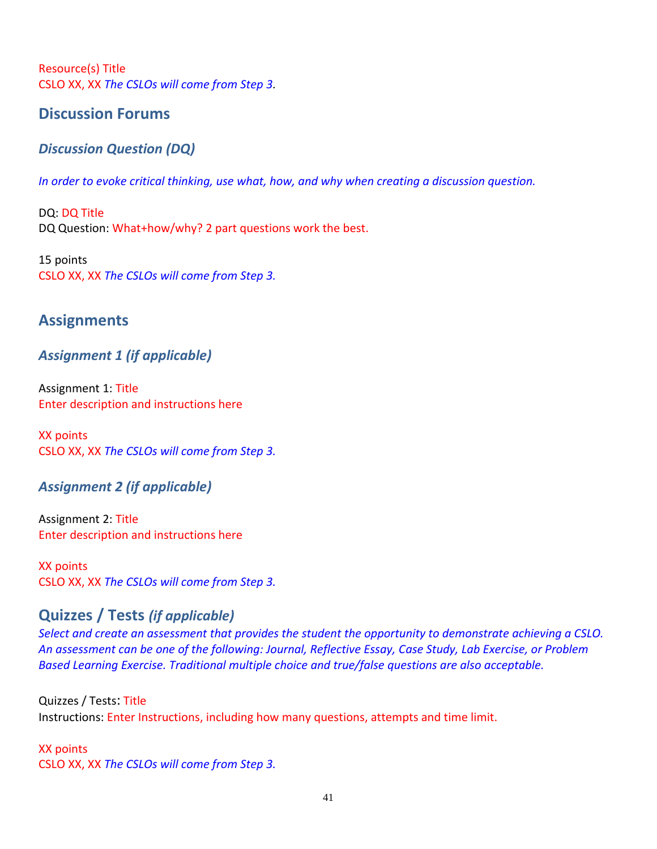Resource(s) Title CSLO XX, XX *The CSLOs will come from Step 3.*

## **Discussion Forums**

## *Discussion Question (DQ)*

*In order to evoke critical thinking, use what, how, and why when creating a discussion question.* 

DQ: DQ Title DQ Question: What+how/why? 2 part questions work the best.

15 points CSLO XX, XX *The CSLOs will come from Step 3.*

## **Assignments**

## *Assignment 1 (if applicable)*

Assignment 1: Title Enter description and instructions here

XX points CSLO XX, XX *The CSLOs will come from Step 3.*

### *Assignment 2 (if applicable)*

Assignment 2: Title Enter description and instructions here

XX points CSLO XX, XX *The CSLOs will come from Step 3.*

# **Quizzes / Tests** *(if applicable)*

*Select and create an assessment that provides the student the opportunity to demonstrate achieving a CSLO. An assessment can be one of the following: Journal, Reflective Essay, Case Study, Lab Exercise, or Problem Based Learning Exercise. Traditional multiple choice and true/false questions are also acceptable.* 

Quizzes / Tests: Title Instructions: Enter Instructions, including how many questions, attempts and time limit.

XX points CSLO XX, XX *The CSLOs will come from Step 3.*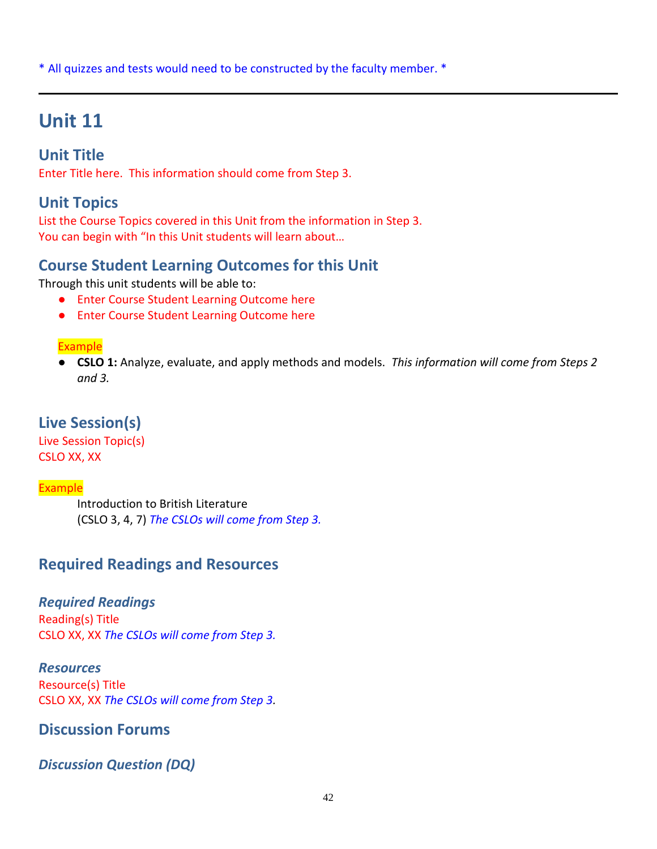\* All quizzes and tests would need to be constructed by the faculty member. \*

# **Unit 11**

# **Unit Title**

Enter Title here. This information should come from Step 3.

# **Unit Topics**

List the Course Topics covered in this Unit from the information in Step 3. You can begin with "In this Unit students will learn about…

# **Course Student Learning Outcomes for this Unit**

Through this unit students will be able to:

- Enter Course Student Learning Outcome here
- Enter Course Student Learning Outcome here

#### Example

● **CSLO 1:** Analyze, evaluate, and apply methods and models. *This information will come from Steps 2 and 3.*

## **Live Session(s)**

Live Session Topic(s) CSLO XX, XX

#### Example

Introduction to British Literature (CSLO 3, 4, 7) *The CSLOs will come from Step 3.*

## **Required Readings and Resources**

### *Required Readings*

Reading(s) Title CSLO XX, XX *The CSLOs will come from Step 3.*

*Resources* Resource(s) Title CSLO XX, XX *The CSLOs will come from Step 3.*

## **Discussion Forums**

## *Discussion Question (DQ)*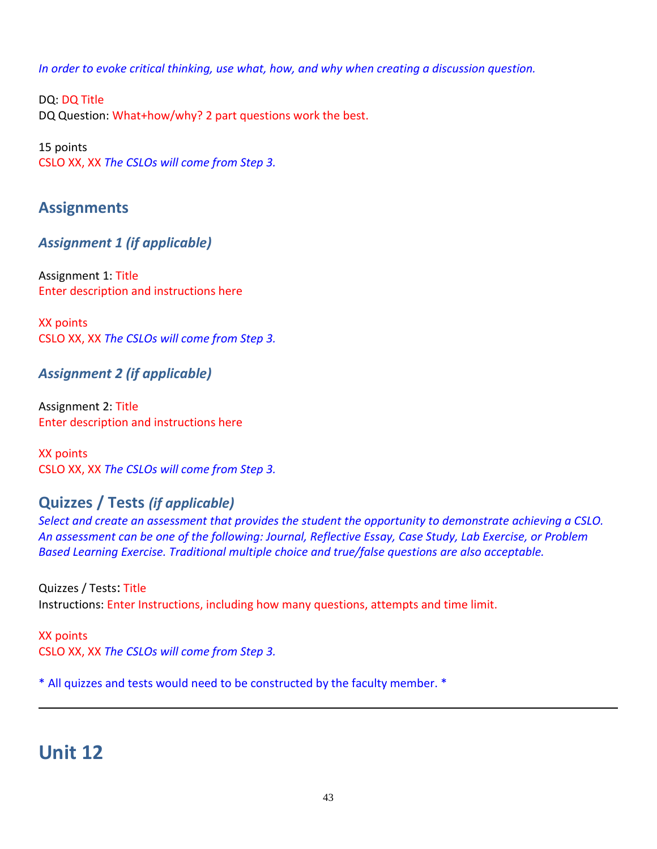*In order to evoke critical thinking, use what, how, and why when creating a discussion question.* 

DQ: DQ Title DQ Question: What+how/why? 2 part questions work the best.

15 points CSLO XX, XX *The CSLOs will come from Step 3.*

# **Assignments**

*Assignment 1 (if applicable)*

Assignment 1: Title Enter description and instructions here

XX points CSLO XX, XX *The CSLOs will come from Step 3.*

## *Assignment 2 (if applicable)*

Assignment 2: Title Enter description and instructions here

XX points CSLO XX, XX *The CSLOs will come from Step 3.*

# **Quizzes / Tests** *(if applicable)*

*Select and create an assessment that provides the student the opportunity to demonstrate achieving a CSLO. An assessment can be one of the following: Journal, Reflective Essay, Case Study, Lab Exercise, or Problem Based Learning Exercise. Traditional multiple choice and true/false questions are also acceptable.* 

Quizzes / Tests: Title Instructions: Enter Instructions, including how many questions, attempts and time limit.

XX points CSLO XX, XX *The CSLOs will come from Step 3.*

\* All quizzes and tests would need to be constructed by the faculty member. \*

# **Unit 12**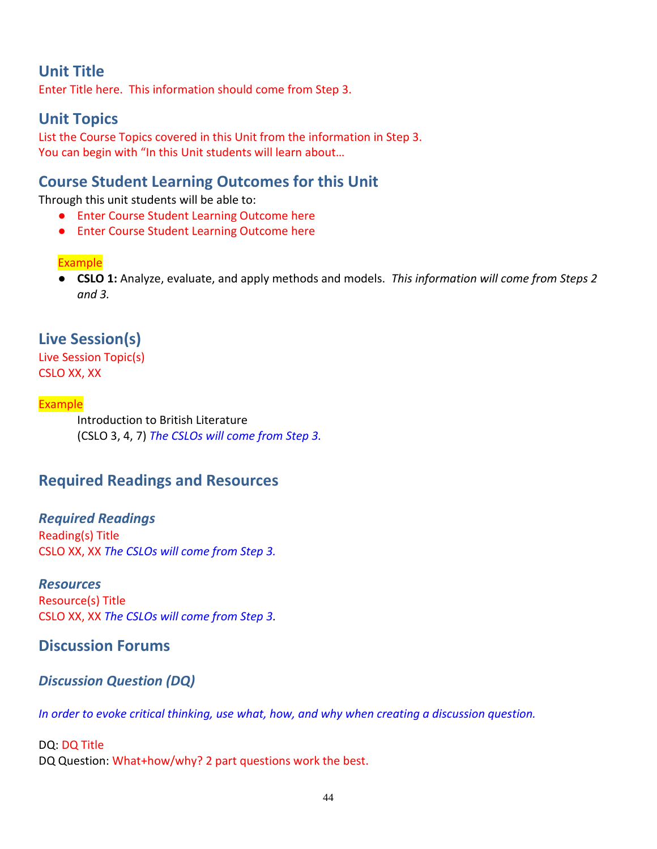# **Unit Title**

Enter Title here. This information should come from Step 3.

# **Unit Topics**

List the Course Topics covered in this Unit from the information in Step 3. You can begin with "In this Unit students will learn about...

## **Course Student Learning Outcomes for this Unit**

Through this unit students will be able to:

- Enter Course Student Learning Outcome here
- Enter Course Student Learning Outcome here

#### Example

● **CSLO 1:** Analyze, evaluate, and apply methods and models. *This information will come from Steps 2 and 3.*

## **Live Session(s)**

Live Session Topic(s) CSLO XX, XX

#### Example

Introduction to British Literature (CSLO 3, 4, 7) *The CSLOs will come from Step 3.*

## **Required Readings and Resources**

*Required Readings* Reading(s) Title CSLO XX, XX *The CSLOs will come from Step 3.*

#### *Resources*

Resource(s) Title CSLO XX, XX *The CSLOs will come from Step 3.*

### **Discussion Forums**

#### *Discussion Question (DQ)*

*In order to evoke critical thinking, use what, how, and why when creating a discussion question.* 

#### DQ: DQ Title DQ Question: What+how/why? 2 part questions work the best.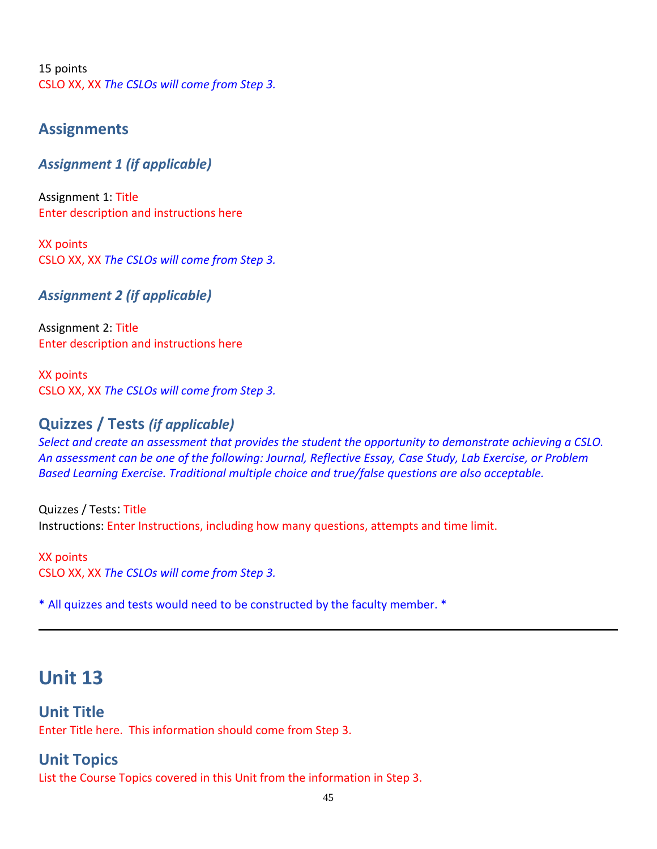15 points CSLO XX, XX *The CSLOs will come from Step 3.*

### **Assignments**

#### *Assignment 1 (if applicable)*

Assignment 1: Title Enter description and instructions here

XX points CSLO XX, XX *The CSLOs will come from Step 3.*

*Assignment 2 (if applicable)*

Assignment 2: Title Enter description and instructions here

XX points CSLO XX, XX *The CSLOs will come from Step 3.*

### **Quizzes / Tests** *(if applicable)*

*Select and create an assessment that provides the student the opportunity to demonstrate achieving a CSLO. An assessment can be one of the following: Journal, Reflective Essay, Case Study, Lab Exercise, or Problem Based Learning Exercise. Traditional multiple choice and true/false questions are also acceptable.* 

Quizzes / Tests: Title Instructions: Enter Instructions, including how many questions, attempts and time limit.

XX points CSLO XX, XX *The CSLOs will come from Step 3.*

\* All quizzes and tests would need to be constructed by the faculty member. \*

# **Unit 13**

### **Unit Title**

Enter Title here. This information should come from Step 3.

### **Unit Topics**

List the Course Topics covered in this Unit from the information in Step 3.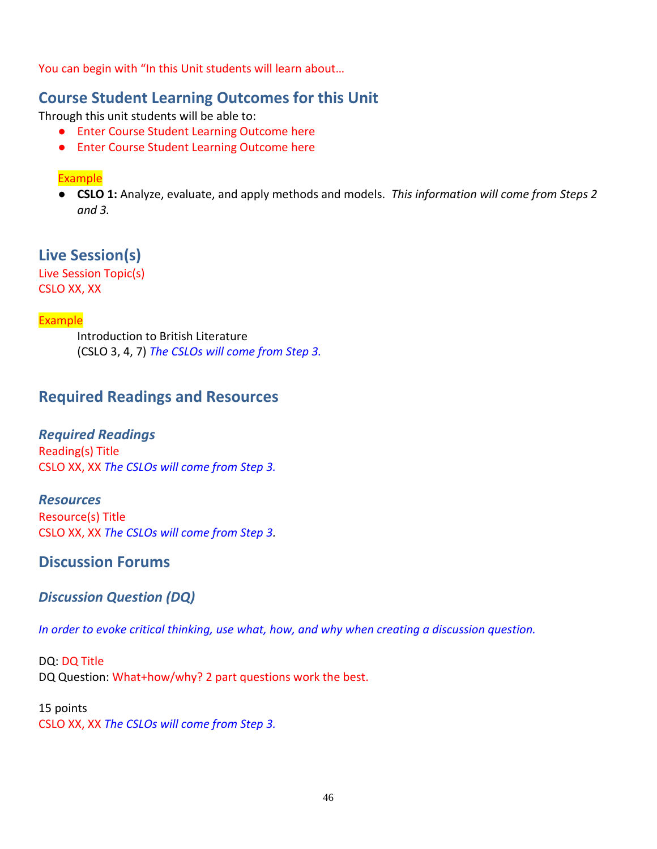You can begin with "In this Unit students will learn about...

## **Course Student Learning Outcomes for this Unit**

Through this unit students will be able to:

- Enter Course Student Learning Outcome here
- Enter Course Student Learning Outcome here

#### Example

● **CSLO 1:** Analyze, evaluate, and apply methods and models. *This information will come from Steps 2 and 3.*

**Live Session(s)** Live Session Topic(s)

CSLO XX, XX

#### Example

Introduction to British Literature (CSLO 3, 4, 7) *The CSLOs will come from Step 3.*

## **Required Readings and Resources**

#### *Required Readings*

Reading(s) Title CSLO XX, XX *The CSLOs will come from Step 3.*

#### *Resources*

Resource(s) Title CSLO XX, XX *The CSLOs will come from Step 3.*

## **Discussion Forums**

### *Discussion Question (DQ)*

*In order to evoke critical thinking, use what, how, and why when creating a discussion question.* 

DQ: DQ Title DQ Question: What+how/why? 2 part questions work the best.

#### 15 points CSLO XX, XX *The CSLOs will come from Step 3.*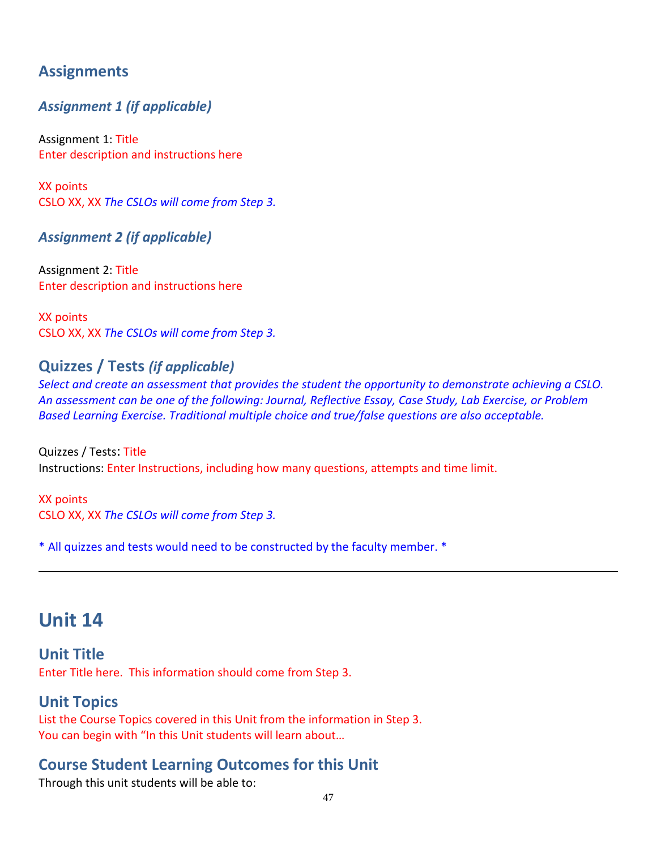# **Assignments**

## *Assignment 1 (if applicable)*

Assignment 1: Title Enter description and instructions here

XX points CSLO XX, XX *The CSLOs will come from Step 3.*

### *Assignment 2 (if applicable)*

Assignment 2: Title Enter description and instructions here

XX points CSLO XX, XX *The CSLOs will come from Step 3.*

## **Quizzes / Tests** *(if applicable)*

*Select and create an assessment that provides the student the opportunity to demonstrate achieving a CSLO. An assessment can be one of the following: Journal, Reflective Essay, Case Study, Lab Exercise, or Problem Based Learning Exercise. Traditional multiple choice and true/false questions are also acceptable.* 

Quizzes / Tests: Title Instructions: Enter Instructions, including how many questions, attempts and time limit.

XX points CSLO XX, XX *The CSLOs will come from Step 3.*

\* All quizzes and tests would need to be constructed by the faculty member. \*

# **Unit 14**

**Unit Title** Enter Title here. This information should come from Step 3.

## **Unit Topics**

List the Course Topics covered in this Unit from the information in Step 3. You can begin with "In this Unit students will learn about…

# **Course Student Learning Outcomes for this Unit**

Through this unit students will be able to: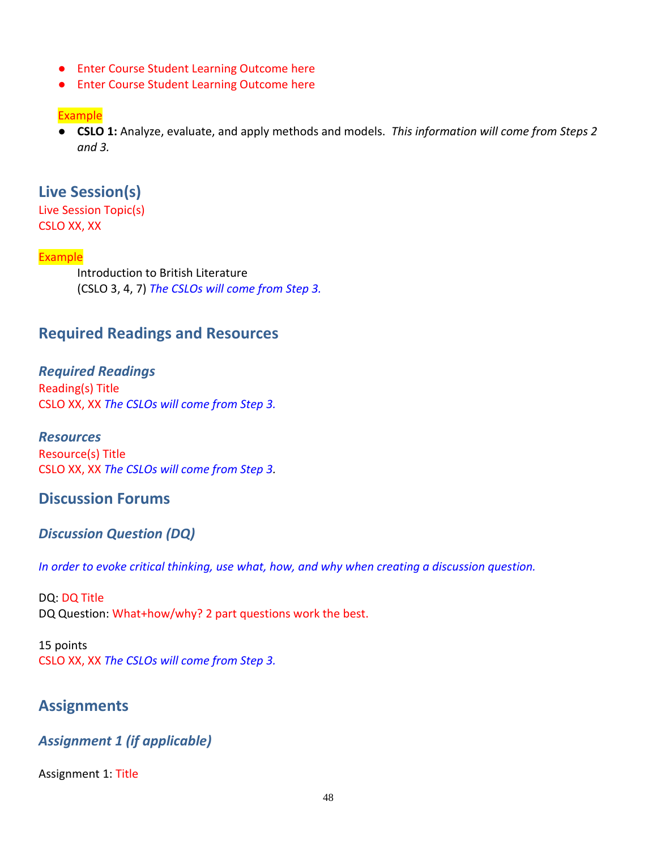- Enter Course Student Learning Outcome here
- Enter Course Student Learning Outcome here

#### Example

● **CSLO 1:** Analyze, evaluate, and apply methods and models. *This information will come from Steps 2 and 3.*

### **Live Session(s)**

Live Session Topic(s) CSLO XX, XX

#### Example

Introduction to British Literature (CSLO 3, 4, 7) *The CSLOs will come from Step 3.*

### **Required Readings and Resources**

*Required Readings* Reading(s) Title CSLO XX, XX *The CSLOs will come from Step 3.*

*Resources* Resource(s) Title CSLO XX, XX *The CSLOs will come from Step 3.*

### **Discussion Forums**

#### *Discussion Question (DQ)*

*In order to evoke critical thinking, use what, how, and why when creating a discussion question.* 

DQ: DQ Title DQ Question: What+how/why? 2 part questions work the best.

15 points CSLO XX, XX *The CSLOs will come from Step 3.*

### **Assignments**

#### *Assignment 1 (if applicable)*

Assignment 1: Title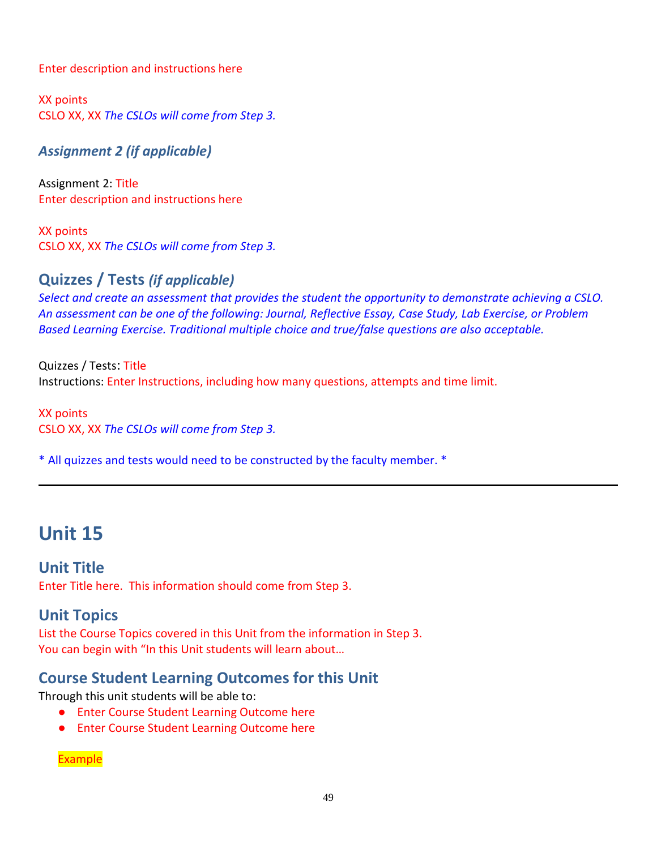Enter description and instructions here

XX points CSLO XX, XX *The CSLOs will come from Step 3.*

*Assignment 2 (if applicable)*

Assignment 2: Title Enter description and instructions here

XX points CSLO XX, XX *The CSLOs will come from Step 3.*

## **Quizzes / Tests** *(if applicable)*

*Select and create an assessment that provides the student the opportunity to demonstrate achieving a CSLO. An assessment can be one of the following: Journal, Reflective Essay, Case Study, Lab Exercise, or Problem Based Learning Exercise. Traditional multiple choice and true/false questions are also acceptable.* 

Quizzes / Tests: Title Instructions: Enter Instructions, including how many questions, attempts and time limit.

XX points CSLO XX, XX *The CSLOs will come from Step 3.*

\* All quizzes and tests would need to be constructed by the faculty member. \*

# **Unit 15**

**Unit Title** Enter Title here. This information should come from Step 3.

## **Unit Topics**

List the Course Topics covered in this Unit from the information in Step 3. You can begin with "In this Unit students will learn about...

# **Course Student Learning Outcomes for this Unit**

Through this unit students will be able to:

- Enter Course Student Learning Outcome here
- Enter Course Student Learning Outcome here

Example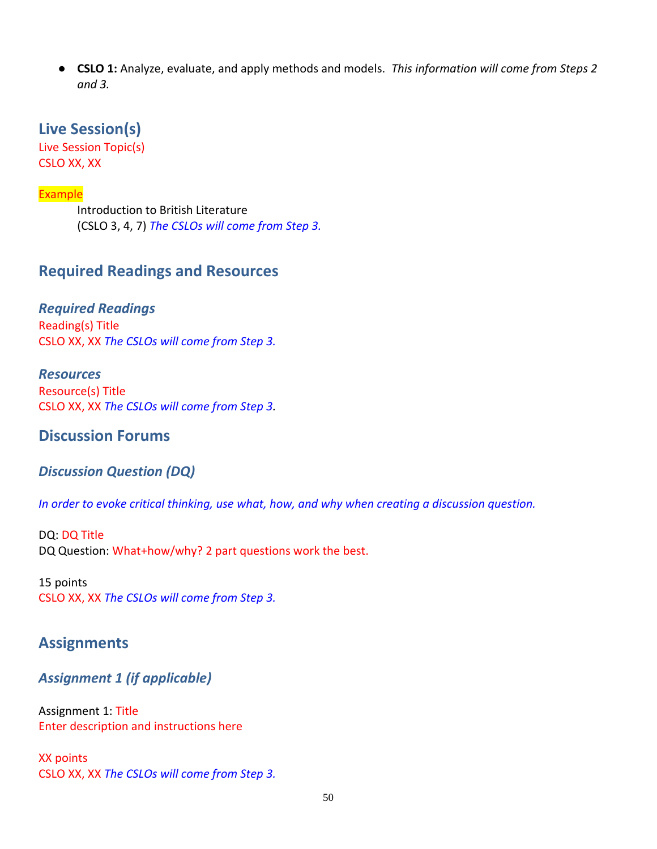● **CSLO 1:** Analyze, evaluate, and apply methods and models. *This information will come from Steps 2 and 3.*

#### **Live Session(s)**

Live Session Topic(s) CSLO XX, XX

#### **Example**

Introduction to British Literature (CSLO 3, 4, 7) *The CSLOs will come from Step 3.*

### **Required Readings and Resources**

*Required Readings* Reading(s) Title CSLO XX, XX *The CSLOs will come from Step 3.*

*Resources* Resource(s) Title CSLO XX, XX *The CSLOs will come from Step 3.*

#### **Discussion Forums**

#### *Discussion Question (DQ)*

*In order to evoke critical thinking, use what, how, and why when creating a discussion question.* 

DQ: DQ Title DQ Question: What+how/why? 2 part questions work the best.

15 points CSLO XX, XX *The CSLOs will come from Step 3.*

### **Assignments**

#### *Assignment 1 (if applicable)*

Assignment 1: Title Enter description and instructions here

XX points CSLO XX, XX *The CSLOs will come from Step 3.*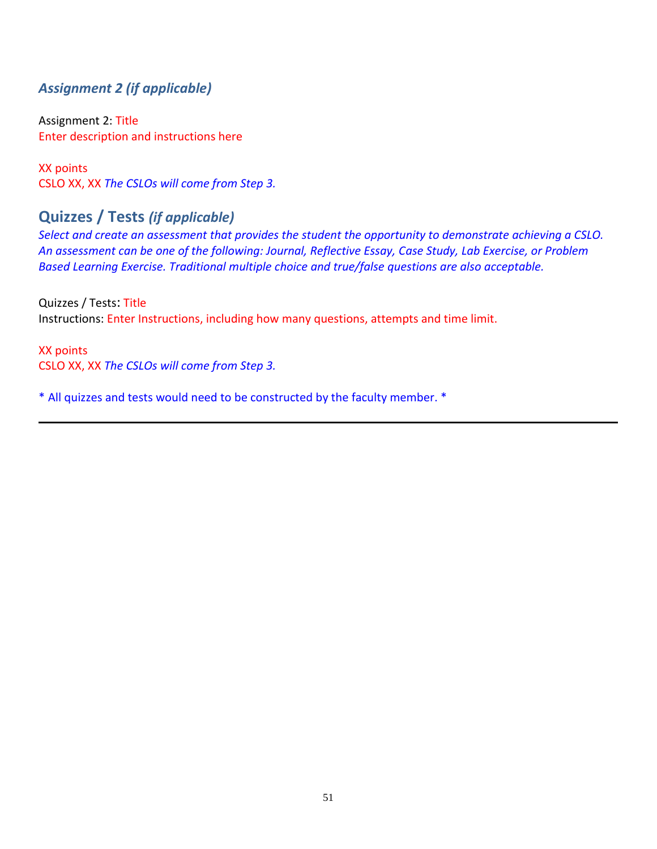### *Assignment 2 (if applicable)*

Assignment 2: Title Enter description and instructions here

XX points CSLO XX, XX *The CSLOs will come from Step 3.*

## **Quizzes / Tests** *(if applicable)*

*Select and create an assessment that provides the student the opportunity to demonstrate achieving a CSLO. An assessment can be one of the following: Journal, Reflective Essay, Case Study, Lab Exercise, or Problem Based Learning Exercise. Traditional multiple choice and true/false questions are also acceptable.* 

Quizzes / Tests: Title Instructions: Enter Instructions, including how many questions, attempts and time limit.

XX points CSLO XX, XX *The CSLOs will come from Step 3.*

\* All quizzes and tests would need to be constructed by the faculty member. \*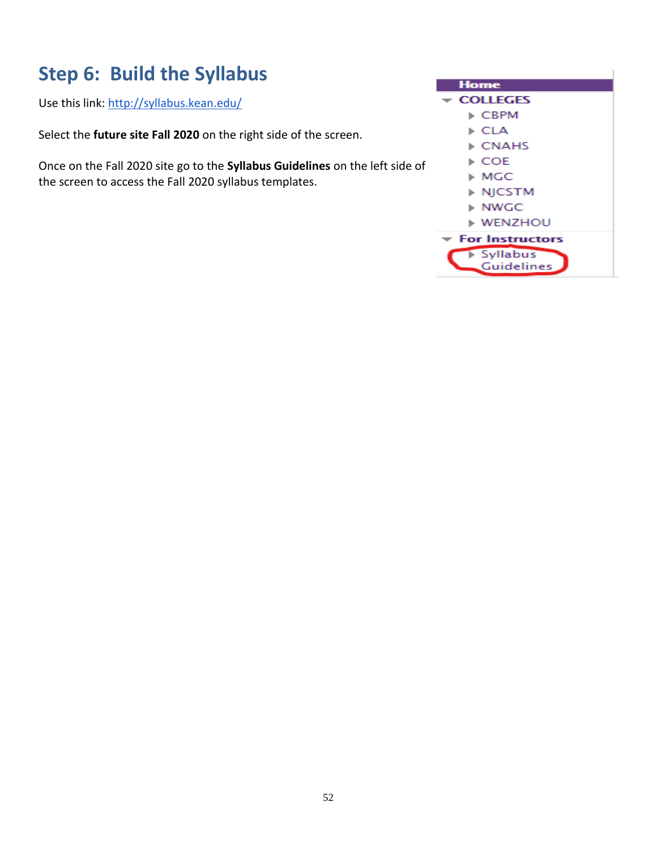# **Step 6: Build the Syllabus**

Use this link:<http://syllabus.kean.edu/>

Select the **future site Fall 2020** on the right side of the screen.

Once on the Fall 2020 site go to the **Syllabus Guidelines** on the left side of the screen to access the Fall 2020 syllabus templates.

| Home                                 |  |
|--------------------------------------|--|
| <del>←</del> COLLEGES                |  |
| $\triangleright$ CBPM                |  |
| ▶ CLA                                |  |
| ▶ CNAHS                              |  |
| ▶ COE                                |  |
| ⊧ MGC                                |  |
| ▶ NJCSTM                             |  |
| $\triangleright$ NWGC                |  |
| $\triangleright$ WENZHOU             |  |
| $\blacktriangledown$ For Instructors |  |
| > Syllabus<br>Guidelines             |  |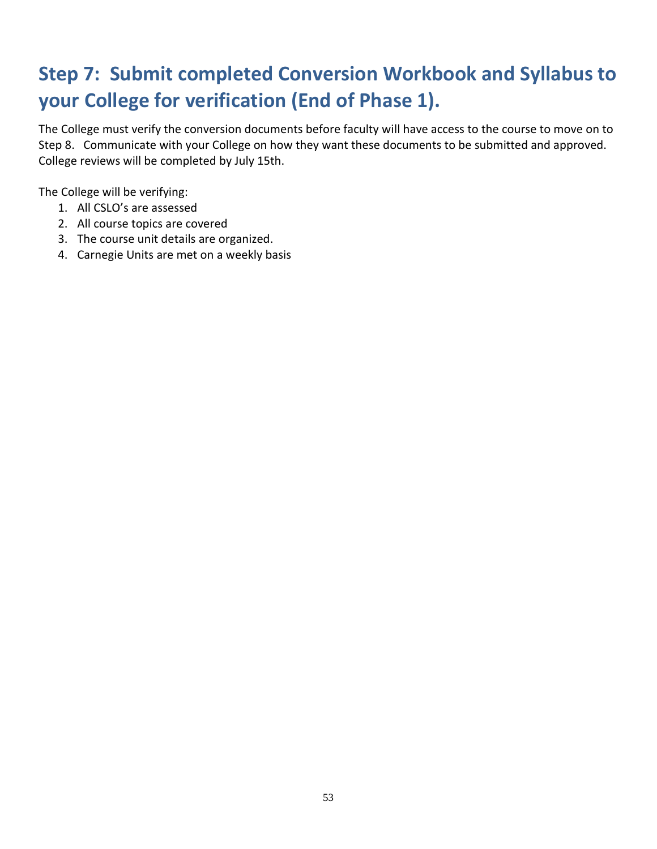# **Step 7: Submit completed Conversion Workbook and Syllabus to your College for verification (End of Phase 1).**

The College must verify the conversion documents before faculty will have access to the course to move on to Step 8. Communicate with your College on how they want these documents to be submitted and approved. College reviews will be completed by July 15th.

The College will be verifying:

- 1. All CSLO's are assessed
- 2. All course topics are covered
- 3. The course unit details are organized.
- 4. Carnegie Units are met on a weekly basis